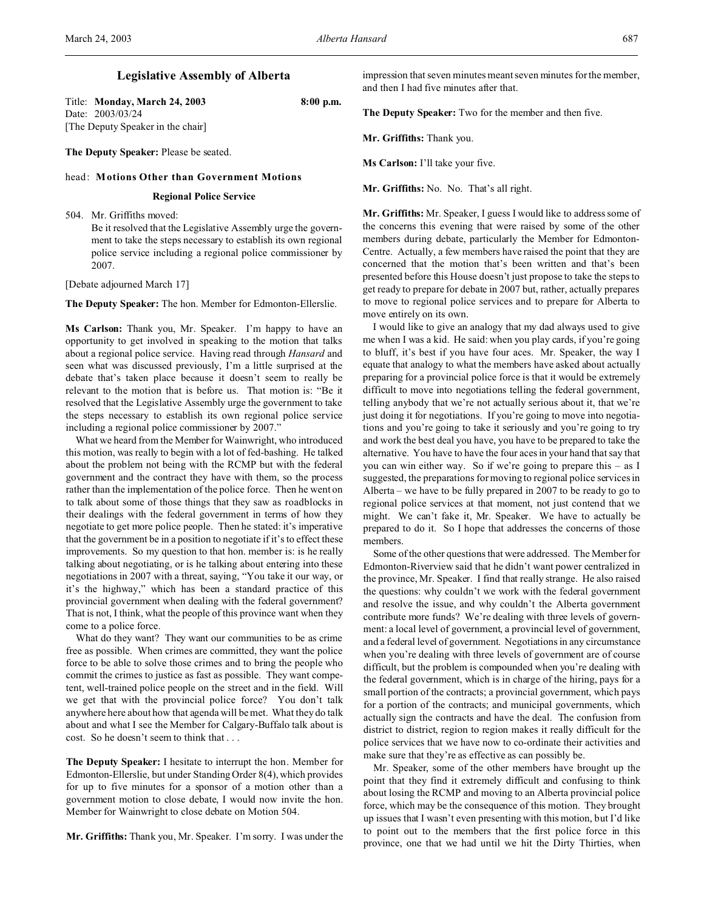# **Legislative Assembly of Alberta**

Title: **Monday, March 24, 2003 8:00 p.m.** Date: 2003/03/24 [The Deputy Speaker in the chair]

**The Deputy Speaker:** Please be seated.

# head: **Motions Other than Government Motions**

### **Regional Police Service**

504. Mr. Griffiths moved:

Be it resolved that the Legislative Assembly urge the government to take the steps necessary to establish its own regional police service including a regional police commissioner by 2007.

[Debate adjourned March 17]

**The Deputy Speaker:** The hon. Member for Edmonton-Ellerslie.

**Ms Carlson:** Thank you, Mr. Speaker. I'm happy to have an opportunity to get involved in speaking to the motion that talks about a regional police service. Having read through *Hansard* and seen what was discussed previously, I'm a little surprised at the debate that's taken place because it doesn't seem to really be relevant to the motion that is before us. That motion is: "Be it resolved that the Legislative Assembly urge the government to take the steps necessary to establish its own regional police service including a regional police commissioner by 2007."

What we heard from the Member for Wainwright, who introduced this motion, was really to begin with a lot of fed-bashing. He talked about the problem not being with the RCMP but with the federal government and the contract they have with them, so the process rather than the implementation of the police force. Then he went on to talk about some of those things that they saw as roadblocks in their dealings with the federal government in terms of how they negotiate to get more police people. Then he stated: it's imperative that the government be in a position to negotiate if it's to effect these improvements. So my question to that hon. member is: is he really talking about negotiating, or is he talking about entering into these negotiations in 2007 with a threat, saying, "You take it our way, or it's the highway," which has been a standard practice of this provincial government when dealing with the federal government? That is not, I think, what the people of this province want when they come to a police force.

What do they want? They want our communities to be as crime free as possible. When crimes are committed, they want the police force to be able to solve those crimes and to bring the people who commit the crimes to justice as fast as possible. They want competent, well-trained police people on the street and in the field. Will we get that with the provincial police force? You don't talk anywhere here about how that agenda will be met. What they do talk about and what I see the Member for Calgary-Buffalo talk about is cost. So he doesn't seem to think that . . .

**The Deputy Speaker:** I hesitate to interrupt the hon. Member for Edmonton-Ellerslie, but under Standing Order 8(4), which provides for up to five minutes for a sponsor of a motion other than a government motion to close debate, I would now invite the hon. Member for Wainwright to close debate on Motion 504.

**Mr. Griffiths:** Thank you, Mr. Speaker. I'm sorry. I was under the

impression that seven minutes meant seven minutes for the member, and then I had five minutes after that.

**The Deputy Speaker:** Two for the member and then five.

**Mr. Griffiths:** Thank you.

**Ms Carlson:** I'll take your five.

**Mr. Griffiths:** No. No. That's all right.

**Mr. Griffiths:** Mr. Speaker, I guess I would like to address some of the concerns this evening that were raised by some of the other members during debate, particularly the Member for Edmonton-Centre. Actually, a few members have raised the point that they are concerned that the motion that's been written and that's been presented before this House doesn't just propose to take the steps to get ready to prepare for debate in 2007 but, rather, actually prepares to move to regional police services and to prepare for Alberta to move entirely on its own.

I would like to give an analogy that my dad always used to give me when I was a kid. He said: when you play cards, if you're going to bluff, it's best if you have four aces. Mr. Speaker, the way I equate that analogy to what the members have asked about actually preparing for a provincial police force is that it would be extremely difficult to move into negotiations telling the federal government, telling anybody that we're not actually serious about it, that we're just doing it for negotiations. If you're going to move into negotiations and you're going to take it seriously and you're going to try and work the best deal you have, you have to be prepared to take the alternative. You have to have the four aces in your hand that say that you can win either way. So if we're going to prepare this – as I suggested, the preparations for moving to regional police services in Alberta – we have to be fully prepared in 2007 to be ready to go to regional police services at that moment, not just contend that we might. We can't fake it, Mr. Speaker. We have to actually be prepared to do it. So I hope that addresses the concerns of those members.

Some of the other questions that were addressed. The Member for Edmonton-Riverview said that he didn't want power centralized in the province, Mr. Speaker. I find that really strange. He also raised the questions: why couldn't we work with the federal government and resolve the issue, and why couldn't the Alberta government contribute more funds? We're dealing with three levels of government: a local level of government, a provincial level of government, and a federal level of government. Negotiations in any circumstance when you're dealing with three levels of government are of course difficult, but the problem is compounded when you're dealing with the federal government, which is in charge of the hiring, pays for a small portion of the contracts; a provincial government, which pays for a portion of the contracts; and municipal governments, which actually sign the contracts and have the deal. The confusion from district to district, region to region makes it really difficult for the police services that we have now to co-ordinate their activities and make sure that they're as effective as can possibly be.

Mr. Speaker, some of the other members have brought up the point that they find it extremely difficult and confusing to think about losing the RCMP and moving to an Alberta provincial police force, which may be the consequence of this motion. They brought up issues that I wasn't even presenting with this motion, but I'd like to point out to the members that the first police force in this province, one that we had until we hit the Dirty Thirties, when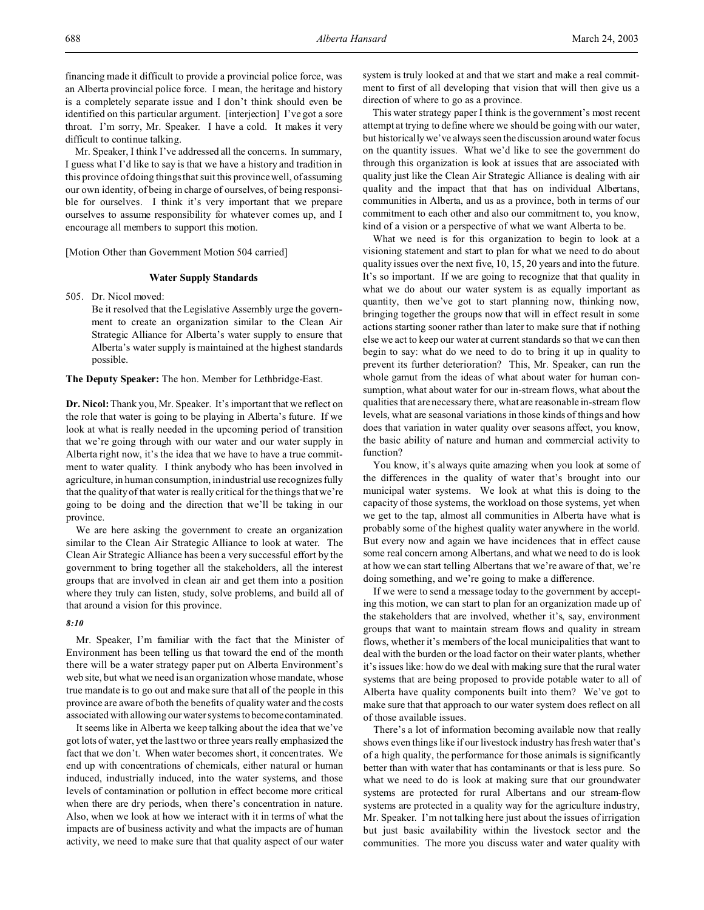financing made it difficult to provide a provincial police force, was an Alberta provincial police force. I mean, the heritage and history is a completely separate issue and I don't think should even be identified on this particular argument. [interjection] I've got a sore throat. I'm sorry, Mr. Speaker. I have a cold. It makes it very difficult to continue talking.

Mr. Speaker, I think I've addressed all the concerns. In summary, I guess what I'd like to say is that we have a history and tradition in this province of doing things that suit this province well, of assuming our own identity, of being in charge of ourselves, of being responsible for ourselves. I think it's very important that we prepare ourselves to assume responsibility for whatever comes up, and I encourage all members to support this motion.

[Motion Other than Government Motion 504 carried]

### **Water Supply Standards**

505. Dr. Nicol moved:

Be it resolved that the Legislative Assembly urge the government to create an organization similar to the Clean Air Strategic Alliance for Alberta's water supply to ensure that Alberta's water supply is maintained at the highest standards possible.

### **The Deputy Speaker:** The hon. Member for Lethbridge-East.

**Dr. Nicol:**Thank you, Mr. Speaker. It's important that we reflect on the role that water is going to be playing in Alberta's future. If we look at what is really needed in the upcoming period of transition that we're going through with our water and our water supply in Alberta right now, it's the idea that we have to have a true commitment to water quality. I think anybody who has been involved in agriculture, in human consumption, in industrial use recognizes fully that the quality of that water is really critical for the things that we're going to be doing and the direction that we'll be taking in our province.

We are here asking the government to create an organization similar to the Clean Air Strategic Alliance to look at water. The Clean Air Strategic Alliance has been a very successful effort by the government to bring together all the stakeholders, all the interest groups that are involved in clean air and get them into a position where they truly can listen, study, solve problems, and build all of that around a vision for this province.

## *8:10*

Mr. Speaker, I'm familiar with the fact that the Minister of Environment has been telling us that toward the end of the month there will be a water strategy paper put on Alberta Environment's web site, but what we need is an organization whose mandate, whose true mandate is to go out and make sure that all of the people in this province are aware of both the benefits of quality water and the costs associated with allowing our water systems to become contaminated.

It seems like in Alberta we keep talking about the idea that we've got lots of water, yet the last two or three years really emphasized the fact that we don't. When water becomes short, it concentrates. We end up with concentrations of chemicals, either natural or human induced, industrially induced, into the water systems, and those levels of contamination or pollution in effect become more critical when there are dry periods, when there's concentration in nature. Also, when we look at how we interact with it in terms of what the impacts are of business activity and what the impacts are of human activity, we need to make sure that that quality aspect of our water system is truly looked at and that we start and make a real commitment to first of all developing that vision that will then give us a direction of where to go as a province.

This water strategy paper I think is the government's most recent attempt at trying to define where we should be going with our water, but historically we've always seen the discussion around water focus on the quantity issues. What we'd like to see the government do through this organization is look at issues that are associated with quality just like the Clean Air Strategic Alliance is dealing with air quality and the impact that that has on individual Albertans, communities in Alberta, and us as a province, both in terms of our commitment to each other and also our commitment to, you know, kind of a vision or a perspective of what we want Alberta to be.

What we need is for this organization to begin to look at a visioning statement and start to plan for what we need to do about quality issues over the next five, 10, 15, 20 years and into the future. It's so important. If we are going to recognize that that quality in what we do about our water system is as equally important as quantity, then we've got to start planning now, thinking now, bringing together the groups now that will in effect result in some actions starting sooner rather than later to make sure that if nothing else we act to keep our water at current standards so that we can then begin to say: what do we need to do to bring it up in quality to prevent its further deterioration? This, Mr. Speaker, can run the whole gamut from the ideas of what about water for human consumption, what about water for our in-stream flows, what about the qualities that are necessary there, what are reasonable in-stream flow levels, what are seasonal variations in those kinds of things and how does that variation in water quality over seasons affect, you know, the basic ability of nature and human and commercial activity to function?

You know, it's always quite amazing when you look at some of the differences in the quality of water that's brought into our municipal water systems. We look at what this is doing to the capacity of those systems, the workload on those systems, yet when we get to the tap, almost all communities in Alberta have what is probably some of the highest quality water anywhere in the world. But every now and again we have incidences that in effect cause some real concern among Albertans, and what we need to do is look at how we can start telling Albertans that we're aware of that, we're doing something, and we're going to make a difference.

If we were to send a message today to the government by accepting this motion, we can start to plan for an organization made up of the stakeholders that are involved, whether it's, say, environment groups that want to maintain stream flows and quality in stream flows, whether it's members of the local municipalities that want to deal with the burden or the load factor on their water plants, whether it's issues like: how do we deal with making sure that the rural water systems that are being proposed to provide potable water to all of Alberta have quality components built into them? We've got to make sure that that approach to our water system does reflect on all of those available issues.

There's a lot of information becoming available now that really shows even things like if our livestock industry has fresh water that's of a high quality, the performance for those animals is significantly better than with water that has contaminants or that is less pure. So what we need to do is look at making sure that our groundwater systems are protected for rural Albertans and our stream-flow systems are protected in a quality way for the agriculture industry, Mr. Speaker. I'm not talking here just about the issues of irrigation but just basic availability within the livestock sector and the communities. The more you discuss water and water quality with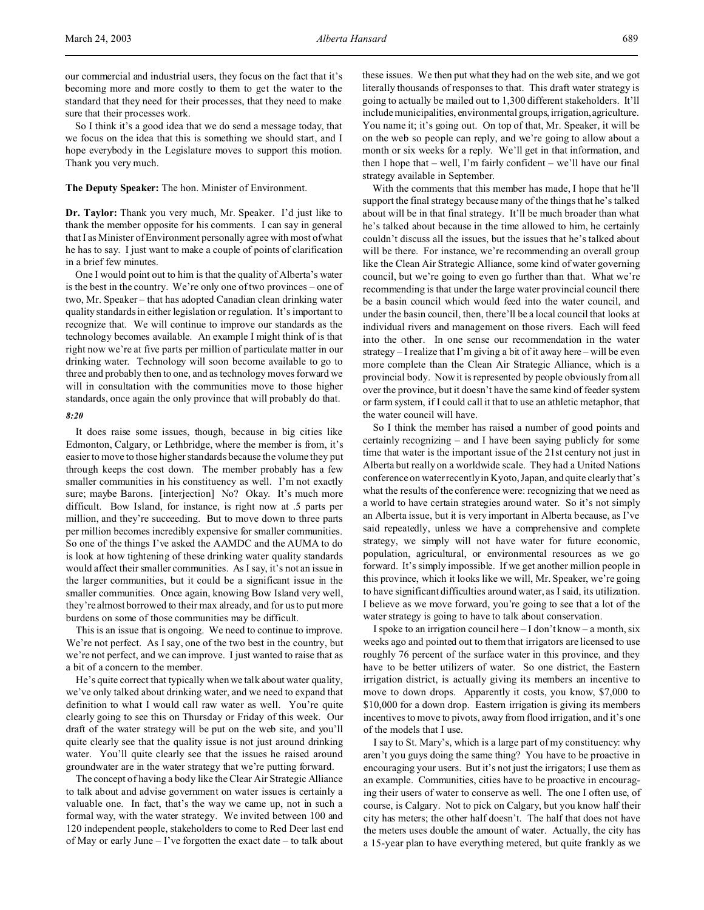So I think it's a good idea that we do send a message today, that we focus on the idea that this is something we should start, and I hope everybody in the Legislature moves to support this motion. Thank you very much.

### **The Deputy Speaker:** The hon. Minister of Environment.

**Dr. Taylor:** Thank you very much, Mr. Speaker. I'd just like to thank the member opposite for his comments. I can say in general that I as Minister of Environment personally agree with most of what he has to say. I just want to make a couple of points of clarification in a brief few minutes.

One I would point out to him is that the quality of Alberta's water is the best in the country. We're only one of two provinces – one of two, Mr. Speaker – that has adopted Canadian clean drinking water quality standards in either legislation or regulation. It's important to recognize that. We will continue to improve our standards as the technology becomes available. An example I might think of is that right now we're at five parts per million of particulate matter in our drinking water. Technology will soon become available to go to three and probably then to one, and as technology moves forward we will in consultation with the communities move to those higher standards, once again the only province that will probably do that.

## *8:20*

It does raise some issues, though, because in big cities like Edmonton, Calgary, or Lethbridge, where the member is from, it's easier to move to those higher standards because the volume they put through keeps the cost down. The member probably has a few smaller communities in his constituency as well. I'm not exactly sure; maybe Barons. [interjection] No? Okay. It's much more difficult. Bow Island, for instance, is right now at .5 parts per million, and they're succeeding. But to move down to three parts per million becomes incredibly expensive for smaller communities. So one of the things I've asked the AAMDC and the AUMA to do is look at how tightening of these drinking water quality standards would affect their smaller communities. As I say, it's not an issue in the larger communities, but it could be a significant issue in the smaller communities. Once again, knowing Bow Island very well, they're almost borrowed to their max already, and for us to put more burdens on some of those communities may be difficult.

This is an issue that is ongoing. We need to continue to improve. We're not perfect. As I say, one of the two best in the country, but we're not perfect, and we can improve. I just wanted to raise that as a bit of a concern to the member.

He's quite correct that typically when we talk about water quality, we've only talked about drinking water, and we need to expand that definition to what I would call raw water as well. You're quite clearly going to see this on Thursday or Friday of this week. Our draft of the water strategy will be put on the web site, and you'll quite clearly see that the quality issue is not just around drinking water. You'll quite clearly see that the issues he raised around groundwater are in the water strategy that we're putting forward.

The concept of having a body like the Clear Air Strategic Alliance to talk about and advise government on water issues is certainly a valuable one. In fact, that's the way we came up, not in such a formal way, with the water strategy. We invited between 100 and 120 independent people, stakeholders to come to Red Deer last end of May or early June – I've forgotten the exact date – to talk about

these issues. We then put what they had on the web site, and we got literally thousands of responses to that. This draft water strategy is going to actually be mailed out to 1,300 different stakeholders. It'll include municipalities, environmental groups, irrigation, agriculture. You name it; it's going out. On top of that, Mr. Speaker, it will be on the web so people can reply, and we're going to allow about a month or six weeks for a reply. We'll get in that information, and then I hope that – well, I'm fairly confident – we'll have our final strategy available in September.

With the comments that this member has made, I hope that he'll support the final strategy because many of the things that he's talked about will be in that final strategy. It'll be much broader than what he's talked about because in the time allowed to him, he certainly couldn't discuss all the issues, but the issues that he's talked about will be there. For instance, we're recommending an overall group like the Clean Air Strategic Alliance, some kind of water governing council, but we're going to even go further than that. What we're recommending is that under the large water provincial council there be a basin council which would feed into the water council, and under the basin council, then, there'll be a local council that looks at individual rivers and management on those rivers. Each will feed into the other. In one sense our recommendation in the water strategy – I realize that I'm giving a bit of it away here – will be even more complete than the Clean Air Strategic Alliance, which is a provincial body. Now it is represented by people obviously from all over the province, but it doesn't have the same kind of feeder system or farm system, if I could call it that to use an athletic metaphor, that the water council will have.

So I think the member has raised a number of good points and certainly recognizing – and I have been saying publicly for some time that water is the important issue of the 21st century not just in Alberta but really on a worldwide scale. They had a United Nations conference on water recently in Kyoto, Japan, and quite clearly that's what the results of the conference were: recognizing that we need as a world to have certain strategies around water. So it's not simply an Alberta issue, but it is very important in Alberta because, as I've said repeatedly, unless we have a comprehensive and complete strategy, we simply will not have water for future economic, population, agricultural, or environmental resources as we go forward. It's simply impossible. If we get another million people in this province, which it looks like we will, Mr. Speaker, we're going to have significant difficulties around water, as I said, its utilization. I believe as we move forward, you're going to see that a lot of the water strategy is going to have to talk about conservation.

I spoke to an irrigation council here  $-I$  don't know  $-$  a month, six weeks ago and pointed out to them that irrigators are licensed to use roughly 76 percent of the surface water in this province, and they have to be better utilizers of water. So one district, the Eastern irrigation district, is actually giving its members an incentive to move to down drops. Apparently it costs, you know, \$7,000 to \$10,000 for a down drop. Eastern irrigation is giving its members incentives to move to pivots, away from flood irrigation, and it's one of the models that I use.

I say to St. Mary's, which is a large part of my constituency: why aren't you guys doing the same thing? You have to be proactive in encouraging your users. But it's not just the irrigators; I use them as an example. Communities, cities have to be proactive in encouraging their users of water to conserve as well. The one I often use, of course, is Calgary. Not to pick on Calgary, but you know half their city has meters; the other half doesn't. The half that does not have the meters uses double the amount of water. Actually, the city has a 15-year plan to have everything metered, but quite frankly as we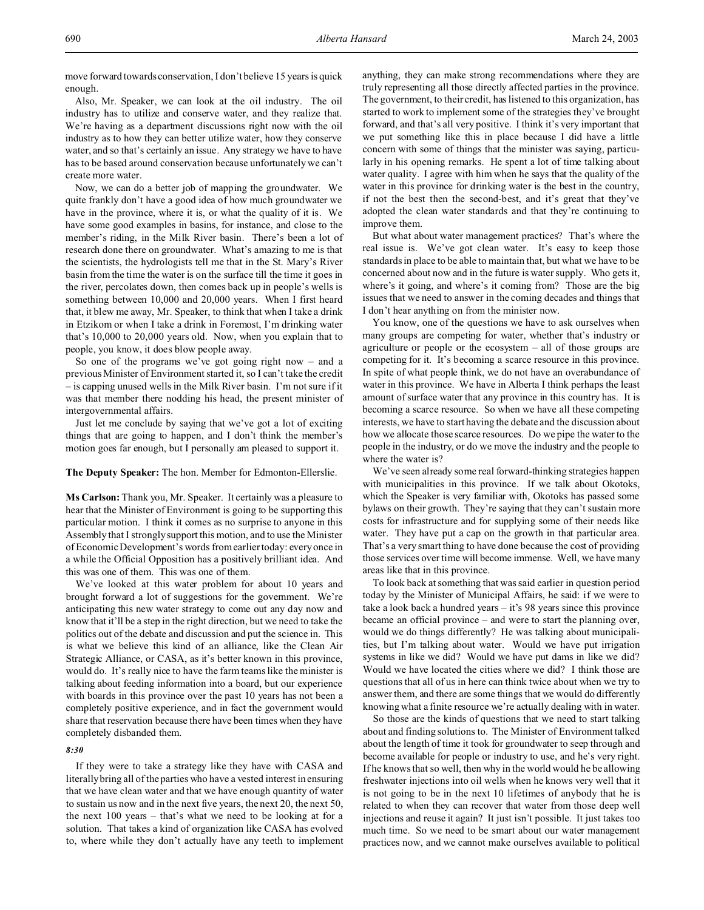move forward towards conservation, I don't believe 15 years is quick enough.

Also, Mr. Speaker, we can look at the oil industry. The oil industry has to utilize and conserve water, and they realize that. We're having as a department discussions right now with the oil industry as to how they can better utilize water, how they conserve water, and so that's certainly an issue. Any strategy we have to have has to be based around conservation because unfortunately we can't create more water.

Now, we can do a better job of mapping the groundwater. We quite frankly don't have a good idea of how much groundwater we have in the province, where it is, or what the quality of it is. We have some good examples in basins, for instance, and close to the member's riding, in the Milk River basin. There's been a lot of research done there on groundwater. What's amazing to me is that the scientists, the hydrologists tell me that in the St. Mary's River basin from the time the water is on the surface till the time it goes in the river, percolates down, then comes back up in people's wells is something between 10,000 and 20,000 years. When I first heard that, it blew me away, Mr. Speaker, to think that when I take a drink in Etzikom or when I take a drink in Foremost, I'm drinking water that's 10,000 to 20,000 years old. Now, when you explain that to people, you know, it does blow people away.

So one of the programs we've got going right now  $-$  and a previous Minister of Environment started it, so I can't take the credit – is capping unused wells in the Milk River basin. I'm not sure if it was that member there nodding his head, the present minister of intergovernmental affairs.

Just let me conclude by saying that we've got a lot of exciting things that are going to happen, and I don't think the member's motion goes far enough, but I personally am pleased to support it.

### **The Deputy Speaker:** The hon. Member for Edmonton-Ellerslie.

**Ms Carlson:** Thank you, Mr. Speaker. It certainly was a pleasure to hear that the Minister of Environment is going to be supporting this particular motion. I think it comes as no surprise to anyone in this Assembly that I strongly support this motion, and to use the Minister of Economic Development's words from earlier today: every once in a while the Official Opposition has a positively brilliant idea. And this was one of them. This was one of them.

We've looked at this water problem for about 10 years and brought forward a lot of suggestions for the government. We're anticipating this new water strategy to come out any day now and know that it'll be a step in the right direction, but we need to take the politics out of the debate and discussion and put the science in. This is what we believe this kind of an alliance, like the Clean Air Strategic Alliance, or CASA, as it's better known in this province, would do. It's really nice to have the farm teams like the minister is talking about feeding information into a board, but our experience with boards in this province over the past 10 years has not been a completely positive experience, and in fact the government would share that reservation because there have been times when they have completely disbanded them.

# *8:30*

If they were to take a strategy like they have with CASA and literally bring all of the parties who have a vested interest in ensuring that we have clean water and that we have enough quantity of water to sustain us now and in the next five years, the next 20, the next 50, the next 100 years – that's what we need to be looking at for a solution. That takes a kind of organization like CASA has evolved to, where while they don't actually have any teeth to implement anything, they can make strong recommendations where they are truly representing all those directly affected parties in the province. The government, to their credit, has listened to this organization, has started to work to implement some of the strategies they've brought forward, and that's all very positive. I think it's very important that we put something like this in place because I did have a little concern with some of things that the minister was saying, particularly in his opening remarks. He spent a lot of time talking about water quality. I agree with him when he says that the quality of the water in this province for drinking water is the best in the country, if not the best then the second-best, and it's great that they've adopted the clean water standards and that they're continuing to improve them.

But what about water management practices? That's where the real issue is. We've got clean water. It's easy to keep those standards in place to be able to maintain that, but what we have to be concerned about now and in the future is water supply. Who gets it, where's it going, and where's it coming from? Those are the big issues that we need to answer in the coming decades and things that I don't hear anything on from the minister now.

You know, one of the questions we have to ask ourselves when many groups are competing for water, whether that's industry or agriculture or people or the ecosystem – all of those groups are competing for it. It's becoming a scarce resource in this province. In spite of what people think, we do not have an overabundance of water in this province. We have in Alberta I think perhaps the least amount of surface water that any province in this country has. It is becoming a scarce resource. So when we have all these competing interests, we have to start having the debate and the discussion about how we allocate those scarce resources. Do we pipe the water to the people in the industry, or do we move the industry and the people to where the water is?

We've seen already some real forward-thinking strategies happen with municipalities in this province. If we talk about Okotoks, which the Speaker is very familiar with, Okotoks has passed some bylaws on their growth. They're saying that they can't sustain more costs for infrastructure and for supplying some of their needs like water. They have put a cap on the growth in that particular area. That's a very smart thing to have done because the cost of providing those services over time will become immense. Well, we have many areas like that in this province.

To look back at something that was said earlier in question period today by the Minister of Municipal Affairs, he said: if we were to take a look back a hundred years – it's 98 years since this province became an official province – and were to start the planning over, would we do things differently? He was talking about municipalities, but I'm talking about water. Would we have put irrigation systems in like we did? Would we have put dams in like we did? Would we have located the cities where we did? I think those are questions that all of us in here can think twice about when we try to answer them, and there are some things that we would do differently knowing what a finite resource we're actually dealing with in water.

So those are the kinds of questions that we need to start talking about and finding solutions to. The Minister of Environment talked about the length of time it took for groundwater to seep through and become available for people or industry to use, and he's very right. If he knows that so well, then why in the world would he be allowing freshwater injections into oil wells when he knows very well that it is not going to be in the next 10 lifetimes of anybody that he is related to when they can recover that water from those deep well injections and reuse it again? It just isn't possible. It just takes too much time. So we need to be smart about our water management practices now, and we cannot make ourselves available to political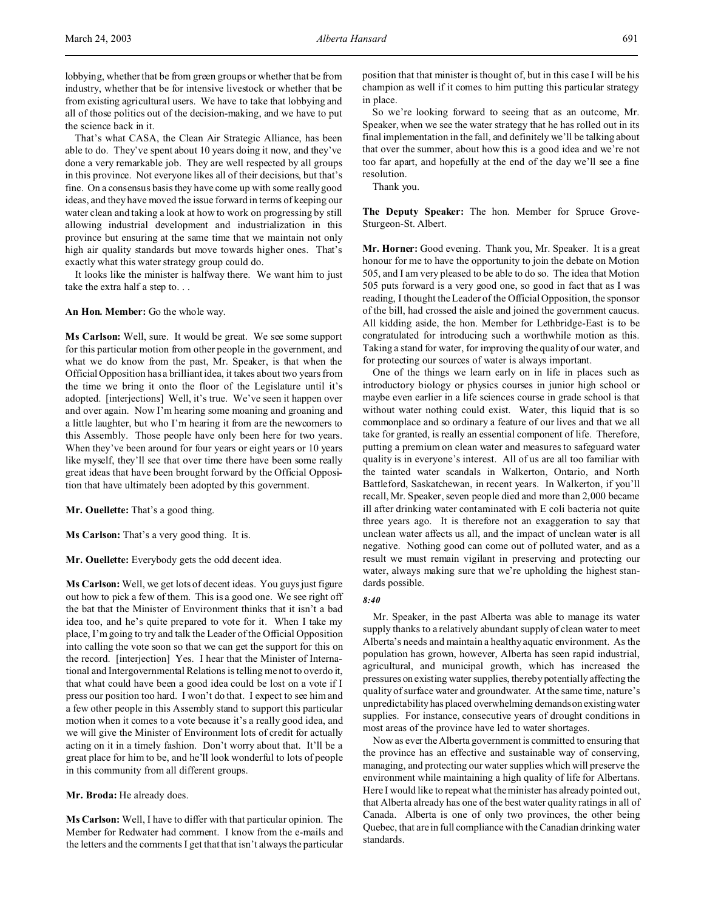That's what CASA, the Clean Air Strategic Alliance, has been able to do. They've spent about 10 years doing it now, and they've done a very remarkable job. They are well respected by all groups in this province. Not everyone likes all of their decisions, but that's fine. On a consensus basis they have come up with some really good ideas, and they have moved the issue forward in terms of keeping our water clean and taking a look at how to work on progressing by still allowing industrial development and industrialization in this province but ensuring at the same time that we maintain not only high air quality standards but move towards higher ones. That's exactly what this water strategy group could do.

It looks like the minister is halfway there. We want him to just take the extra half a step to. . .

## **An Hon. Member:** Go the whole way.

**Ms Carlson:** Well, sure. It would be great. We see some support for this particular motion from other people in the government, and what we do know from the past, Mr. Speaker, is that when the Official Opposition has a brilliant idea, it takes about two years from the time we bring it onto the floor of the Legislature until it's adopted. [interjections] Well, it's true. We've seen it happen over and over again. Now I'm hearing some moaning and groaning and a little laughter, but who I'm hearing it from are the newcomers to this Assembly. Those people have only been here for two years. When they've been around for four years or eight years or 10 years like myself, they'll see that over time there have been some really great ideas that have been brought forward by the Official Opposition that have ultimately been adopted by this government.

**Mr. Ouellette:** That's a good thing.

**Ms Carlson:** That's a very good thing. It is.

**Mr. Ouellette:** Everybody gets the odd decent idea.

**Ms Carlson:** Well, we get lots of decent ideas. You guys just figure out how to pick a few of them. This is a good one. We see right off the bat that the Minister of Environment thinks that it isn't a bad idea too, and he's quite prepared to vote for it. When I take my place, I'm going to try and talk the Leader of the Official Opposition into calling the vote soon so that we can get the support for this on the record. [interjection] Yes. I hear that the Minister of International and Intergovernmental Relations is telling me not to overdo it, that what could have been a good idea could be lost on a vote if I press our position too hard. I won't do that. I expect to see him and a few other people in this Assembly stand to support this particular motion when it comes to a vote because it's a really good idea, and we will give the Minister of Environment lots of credit for actually acting on it in a timely fashion. Don't worry about that. It'll be a great place for him to be, and he'll look wonderful to lots of people in this community from all different groups.

**Mr. Broda:** He already does.

**Ms Carlson:** Well, I have to differ with that particular opinion. The Member for Redwater had comment. I know from the e-mails and the letters and the comments I get that that isn't always the particular position that that minister is thought of, but in this case I will be his champion as well if it comes to him putting this particular strategy in place.

So we're looking forward to seeing that as an outcome, Mr. Speaker, when we see the water strategy that he has rolled out in its final implementation in the fall, and definitely we'll be talking about that over the summer, about how this is a good idea and we're not too far apart, and hopefully at the end of the day we'll see a fine resolution.

Thank you.

**The Deputy Speaker:** The hon. Member for Spruce Grove-Sturgeon-St. Albert.

**Mr. Horner:** Good evening. Thank you, Mr. Speaker. It is a great honour for me to have the opportunity to join the debate on Motion 505, and I am very pleased to be able to do so. The idea that Motion 505 puts forward is a very good one, so good in fact that as I was reading, I thought the Leader of the Official Opposition, the sponsor of the bill, had crossed the aisle and joined the government caucus. All kidding aside, the hon. Member for Lethbridge-East is to be congratulated for introducing such a worthwhile motion as this. Taking a stand for water, for improving the quality of our water, and for protecting our sources of water is always important.

One of the things we learn early on in life in places such as introductory biology or physics courses in junior high school or maybe even earlier in a life sciences course in grade school is that without water nothing could exist. Water, this liquid that is so commonplace and so ordinary a feature of our lives and that we all take for granted, is really an essential component of life. Therefore, putting a premium on clean water and measures to safeguard water quality is in everyone's interest. All of us are all too familiar with the tainted water scandals in Walkerton, Ontario, and North Battleford, Saskatchewan, in recent years. In Walkerton, if you'll recall, Mr. Speaker, seven people died and more than 2,000 became ill after drinking water contaminated with E coli bacteria not quite three years ago. It is therefore not an exaggeration to say that unclean water affects us all, and the impact of unclean water is all negative. Nothing good can come out of polluted water, and as a result we must remain vigilant in preserving and protecting our water, always making sure that we're upholding the highest standards possible.

## *8:40*

Mr. Speaker, in the past Alberta was able to manage its water supply thanks to a relatively abundant supply of clean water to meet Alberta's needs and maintain a healthy aquatic environment. As the population has grown, however, Alberta has seen rapid industrial, agricultural, and municipal growth, which has increased the pressures on existing water supplies, thereby potentially affecting the quality of surface water and groundwater. At the same time, nature's unpredictability has placed overwhelming demandson existing water supplies. For instance, consecutive years of drought conditions in most areas of the province have led to water shortages.

Now as ever the Alberta government is committed to ensuring that the province has an effective and sustainable way of conserving, managing, and protecting our water supplies which will preserve the environment while maintaining a high quality of life for Albertans. Here I would like to repeat what the minister has already pointed out, that Alberta already has one of the best water quality ratings in all of Canada. Alberta is one of only two provinces, the other being Quebec, that are in full compliance with the Canadian drinking water standards.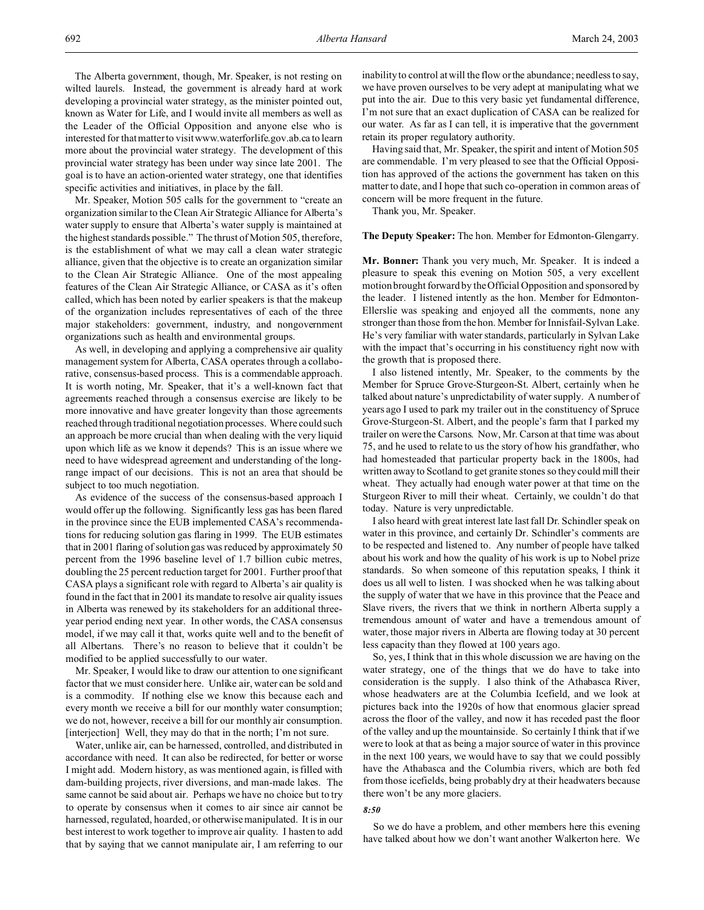The Alberta government, though, Mr. Speaker, is not resting on wilted laurels. Instead, the government is already hard at work developing a provincial water strategy, as the minister pointed out, known as Water for Life, and I would invite all members as well as the Leader of the Official Opposition and anyone else who is interested for that matter to visit www.waterforlife.gov.ab.ca to learn more about the provincial water strategy. The development of this provincial water strategy has been under way since late 2001. The goal is to have an action-oriented water strategy, one that identifies specific activities and initiatives, in place by the fall.

Mr. Speaker, Motion 505 calls for the government to "create an organization similar to the Clean Air Strategic Alliance for Alberta's water supply to ensure that Alberta's water supply is maintained at the highest standards possible." The thrust of Motion 505, therefore, is the establishment of what we may call a clean water strategic alliance, given that the objective is to create an organization similar to the Clean Air Strategic Alliance. One of the most appealing features of the Clean Air Strategic Alliance, or CASA as it's often called, which has been noted by earlier speakers is that the makeup of the organization includes representatives of each of the three major stakeholders: government, industry, and nongovernment organizations such as health and environmental groups.

As well, in developing and applying a comprehensive air quality management system for Alberta, CASA operates through a collaborative, consensus-based process. This is a commendable approach. It is worth noting, Mr. Speaker, that it's a well-known fact that agreements reached through a consensus exercise are likely to be more innovative and have greater longevity than those agreements reached through traditional negotiation processes. Where could such an approach be more crucial than when dealing with the very liquid upon which life as we know it depends? This is an issue where we need to have widespread agreement and understanding of the longrange impact of our decisions. This is not an area that should be subject to too much negotiation.

As evidence of the success of the consensus-based approach I would offer up the following. Significantly less gas has been flared in the province since the EUB implemented CASA's recommendations for reducing solution gas flaring in 1999. The EUB estimates that in 2001 flaring of solution gas was reduced by approximately 50 percent from the 1996 baseline level of 1.7 billion cubic metres, doubling the 25 percent reduction target for 2001. Further proof that CASA plays a significant role with regard to Alberta's air quality is found in the fact that in 2001 its mandate to resolve air quality issues in Alberta was renewed by its stakeholders for an additional threeyear period ending next year. In other words, the CASA consensus model, if we may call it that, works quite well and to the benefit of all Albertans. There's no reason to believe that it couldn't be modified to be applied successfully to our water.

Mr. Speaker, I would like to draw our attention to one significant factor that we must consider here. Unlike air, water can be sold and is a commodity. If nothing else we know this because each and every month we receive a bill for our monthly water consumption; we do not, however, receive a bill for our monthly air consumption. [interjection] Well, they may do that in the north; I'm not sure.

Water, unlike air, can be harnessed, controlled, and distributed in accordance with need. It can also be redirected, for better or worse I might add. Modern history, as was mentioned again, is filled with dam-building projects, river diversions, and man-made lakes. The same cannot be said about air. Perhaps we have no choice but to try to operate by consensus when it comes to air since air cannot be harnessed, regulated, hoarded, or otherwise manipulated. It is in our best interest to work together to improve air quality. I hasten to add that by saying that we cannot manipulate air, I am referring to our inability to control at will the flow or the abundance; needless to say, we have proven ourselves to be very adept at manipulating what we put into the air. Due to this very basic yet fundamental difference, I'm not sure that an exact duplication of CASA can be realized for our water. As far as I can tell, it is imperative that the government retain its proper regulatory authority.

Having said that, Mr. Speaker, the spirit and intent of Motion 505 are commendable. I'm very pleased to see that the Official Opposition has approved of the actions the government has taken on this matter to date, and I hope that such co-operation in common areas of concern will be more frequent in the future.

Thank you, Mr. Speaker.

### **The Deputy Speaker:** The hon. Member for Edmonton-Glengarry.

**Mr. Bonner:** Thank you very much, Mr. Speaker. It is indeed a pleasure to speak this evening on Motion 505, a very excellent motion brought forward by the Official Opposition and sponsored by the leader. I listened intently as the hon. Member for Edmonton-Ellerslie was speaking and enjoyed all the comments, none any stronger than those from the hon. Member for Innisfail-Sylvan Lake. He's very familiar with water standards, particularly in Sylvan Lake with the impact that's occurring in his constituency right now with the growth that is proposed there.

I also listened intently, Mr. Speaker, to the comments by the Member for Spruce Grove-Sturgeon-St. Albert, certainly when he talked about nature's unpredictability of water supply. A number of years ago I used to park my trailer out in the constituency of Spruce Grove-Sturgeon-St. Albert, and the people's farm that I parked my trailer on were the Carsons. Now, Mr. Carson at that time was about 75, and he used to relate to us the story of how his grandfather, who had homesteaded that particular property back in the 1800s, had written away to Scotland to get granite stones so they could mill their wheat. They actually had enough water power at that time on the Sturgeon River to mill their wheat. Certainly, we couldn't do that today. Nature is very unpredictable.

I also heard with great interest late last fall Dr. Schindler speak on water in this province, and certainly Dr. Schindler's comments are to be respected and listened to. Any number of people have talked about his work and how the quality of his work is up to Nobel prize standards. So when someone of this reputation speaks, I think it does us all well to listen. I was shocked when he was talking about the supply of water that we have in this province that the Peace and Slave rivers, the rivers that we think in northern Alberta supply a tremendous amount of water and have a tremendous amount of water, those major rivers in Alberta are flowing today at 30 percent less capacity than they flowed at 100 years ago.

So, yes, I think that in this whole discussion we are having on the water strategy, one of the things that we do have to take into consideration is the supply. I also think of the Athabasca River, whose headwaters are at the Columbia Icefield, and we look at pictures back into the 1920s of how that enormous glacier spread across the floor of the valley, and now it has receded past the floor of the valley and up the mountainside. So certainly I think that if we were to look at that as being a major source of water in this province in the next 100 years, we would have to say that we could possibly have the Athabasca and the Columbia rivers, which are both fed from those icefields, being probably dry at their headwaters because there won't be any more glaciers.

#### *8:50*

So we do have a problem, and other members here this evening have talked about how we don't want another Walkerton here. We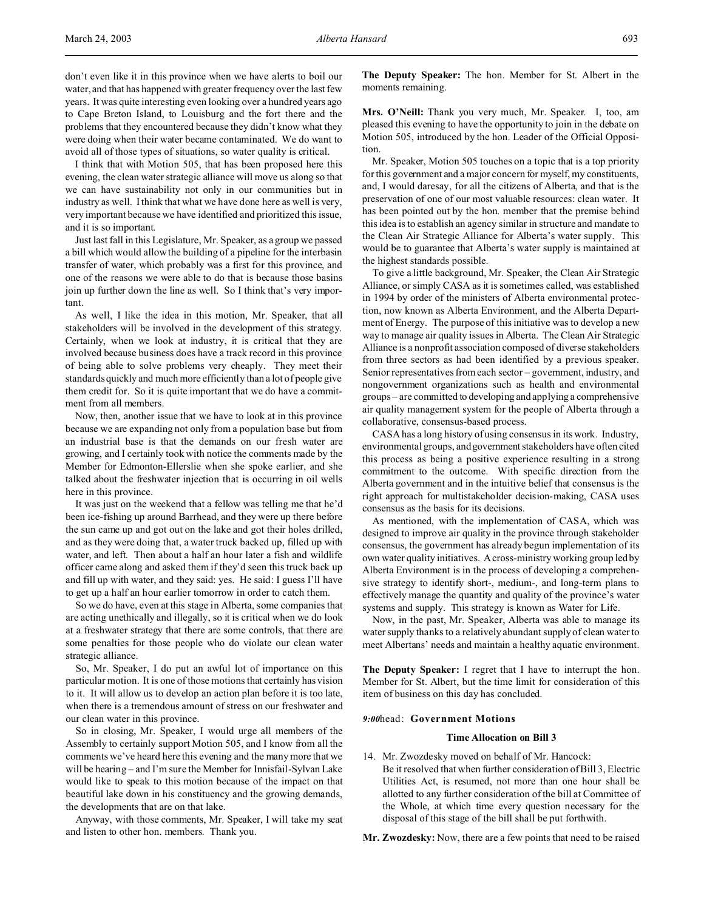I think that with Motion 505, that has been proposed here this evening, the clean water strategic alliance will move us along so that we can have sustainability not only in our communities but in industry as well. I think that what we have done here as well is very, very important because we have identified and prioritized this issue, and it is so important.

Just last fall in this Legislature, Mr. Speaker, as a group we passed a bill which would allow the building of a pipeline for the interbasin transfer of water, which probably was a first for this province, and one of the reasons we were able to do that is because those basins join up further down the line as well. So I think that's very important.

As well, I like the idea in this motion, Mr. Speaker, that all stakeholders will be involved in the development of this strategy. Certainly, when we look at industry, it is critical that they are involved because business does have a track record in this province of being able to solve problems very cheaply. They meet their standards quickly and much more efficiently than a lot of people give them credit for. So it is quite important that we do have a commitment from all members.

Now, then, another issue that we have to look at in this province because we are expanding not only from a population base but from an industrial base is that the demands on our fresh water are growing, and I certainly took with notice the comments made by the Member for Edmonton-Ellerslie when she spoke earlier, and she talked about the freshwater injection that is occurring in oil wells here in this province.

It was just on the weekend that a fellow was telling me that he'd been ice-fishing up around Barrhead, and they were up there before the sun came up and got out on the lake and got their holes drilled, and as they were doing that, a water truck backed up, filled up with water, and left. Then about a half an hour later a fish and wildlife officer came along and asked them if they'd seen this truck back up and fill up with water, and they said: yes. He said: I guess I'll have to get up a half an hour earlier tomorrow in order to catch them.

So we do have, even at this stage in Alberta, some companies that are acting unethically and illegally, so it is critical when we do look at a freshwater strategy that there are some controls, that there are some penalties for those people who do violate our clean water strategic alliance.

So, Mr. Speaker, I do put an awful lot of importance on this particular motion. It is one of those motions that certainly has vision to it. It will allow us to develop an action plan before it is too late, when there is a tremendous amount of stress on our freshwater and our clean water in this province.

So in closing, Mr. Speaker, I would urge all members of the Assembly to certainly support Motion 505, and I know from all the comments we've heard here this evening and the many more that we will be hearing – and I'm sure the Member for Innisfail-Sylvan Lake would like to speak to this motion because of the impact on that beautiful lake down in his constituency and the growing demands, the developments that are on that lake.

Anyway, with those comments, Mr. Speaker, I will take my seat and listen to other hon. members. Thank you.

**The Deputy Speaker:** The hon. Member for St. Albert in the moments remaining.

**Mrs. O'Neill:** Thank you very much, Mr. Speaker. I, too, am pleased this evening to have the opportunity to join in the debate on Motion 505, introduced by the hon. Leader of the Official Opposition.

Mr. Speaker, Motion 505 touches on a topic that is a top priority for this government and a major concern for myself, my constituents, and, I would daresay, for all the citizens of Alberta, and that is the preservation of one of our most valuable resources: clean water. It has been pointed out by the hon. member that the premise behind this idea is to establish an agency similar in structure and mandate to the Clean Air Strategic Alliance for Alberta's water supply. This would be to guarantee that Alberta's water supply is maintained at the highest standards possible.

To give a little background, Mr. Speaker, the Clean Air Strategic Alliance, or simply CASA as it is sometimes called, was established in 1994 by order of the ministers of Alberta environmental protection, now known as Alberta Environment, and the Alberta Department of Energy. The purpose of this initiative was to develop a new way to manage air quality issues in Alberta. The Clean Air Strategic Alliance is a nonprofit association composed of diverse stakeholders from three sectors as had been identified by a previous speaker. Senior representatives from each sector – government, industry, and nongovernment organizations such as health and environmental groups – are committed to developing and applying a comprehensive air quality management system for the people of Alberta through a collaborative, consensus-based process.

CASA has a long history of using consensus in its work. Industry, environmental groups, and government stakeholders have often cited this process as being a positive experience resulting in a strong commitment to the outcome. With specific direction from the Alberta government and in the intuitive belief that consensus is the right approach for multistakeholder decision-making, CASA uses consensus as the basis for its decisions.

As mentioned, with the implementation of CASA, which was designed to improve air quality in the province through stakeholder consensus, the government has already begun implementation of its own water quality initiatives. A cross-ministry working group led by Alberta Environment is in the process of developing a comprehensive strategy to identify short-, medium-, and long-term plans to effectively manage the quantity and quality of the province's water systems and supply. This strategy is known as Water for Life.

Now, in the past, Mr. Speaker, Alberta was able to manage its water supply thanks to a relatively abundant supply of clean water to meet Albertans' needs and maintain a healthy aquatic environment.

**The Deputy Speaker:** I regret that I have to interrupt the hon. Member for St. Albert, but the time limit for consideration of this item of business on this day has concluded.

### *9:00*head: **Government Motions**

## **Time Allocation on Bill 3**

14. Mr. Zwozdesky moved on behalf of Mr. Hancock: Be it resolved that when further consideration of Bill 3, Electric Utilities Act, is resumed, not more than one hour shall be allotted to any further consideration of the bill at Committee of the Whole, at which time every question necessary for the disposal of this stage of the bill shall be put forthwith.

**Mr. Zwozdesky:** Now, there are a few points that need to be raised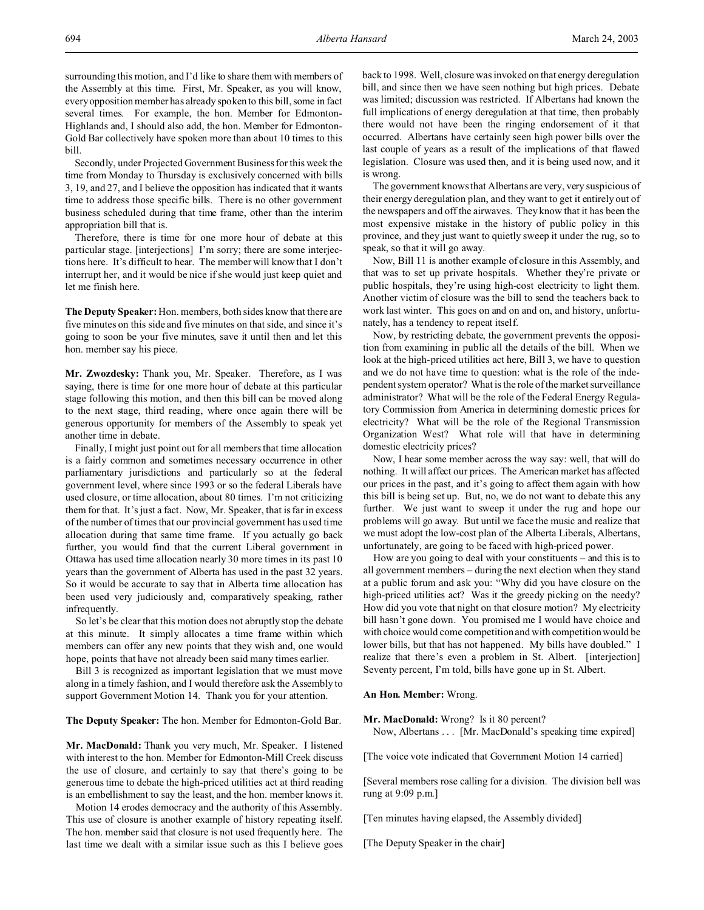Secondly, under Projected Government Business for this week the time from Monday to Thursday is exclusively concerned with bills 3, 19, and 27, and I believe the opposition has indicated that it wants time to address those specific bills. There is no other government business scheduled during that time frame, other than the interim appropriation bill that is.

Therefore, there is time for one more hour of debate at this particular stage. [interjections] I'm sorry; there are some interjections here. It's difficult to hear. The member will know that I don't interrupt her, and it would be nice if she would just keep quiet and let me finish here.

**The Deputy Speaker:** Hon. members, both sides know that there are five minutes on this side and five minutes on that side, and since it's going to soon be your five minutes, save it until then and let this hon. member say his piece.

**Mr. Zwozdesky:** Thank you, Mr. Speaker. Therefore, as I was saying, there is time for one more hour of debate at this particular stage following this motion, and then this bill can be moved along to the next stage, third reading, where once again there will be generous opportunity for members of the Assembly to speak yet another time in debate.

Finally, I might just point out for all members that time allocation is a fairly common and sometimes necessary occurrence in other parliamentary jurisdictions and particularly so at the federal government level, where since 1993 or so the federal Liberals have used closure, or time allocation, about 80 times. I'm not criticizing them for that. It's just a fact. Now, Mr. Speaker, that is far in excess of the number of times that our provincial government has used time allocation during that same time frame. If you actually go back further, you would find that the current Liberal government in Ottawa has used time allocation nearly 30 more times in its past 10 years than the government of Alberta has used in the past 32 years. So it would be accurate to say that in Alberta time allocation has been used very judiciously and, comparatively speaking, rather infrequently.

So let's be clear that this motion does not abruptly stop the debate at this minute. It simply allocates a time frame within which members can offer any new points that they wish and, one would hope, points that have not already been said many times earlier.

Bill 3 is recognized as important legislation that we must move along in a timely fashion, and I would therefore ask the Assembly to support Government Motion 14. Thank you for your attention.

**The Deputy Speaker:** The hon. Member for Edmonton-Gold Bar.

**Mr. MacDonald:** Thank you very much, Mr. Speaker. I listened with interest to the hon. Member for Edmonton-Mill Creek discuss the use of closure, and certainly to say that there's going to be generous time to debate the high-priced utilities act at third reading is an embellishment to say the least, and the hon. member knows it.

Motion 14 erodes democracy and the authority of this Assembly. This use of closure is another example of history repeating itself. The hon. member said that closure is not used frequently here. The last time we dealt with a similar issue such as this I believe goes

back to 1998. Well, closure was invoked on that energy deregulation bill, and since then we have seen nothing but high prices. Debate was limited; discussion was restricted. If Albertans had known the full implications of energy deregulation at that time, then probably there would not have been the ringing endorsement of it that occurred. Albertans have certainly seen high power bills over the last couple of years as a result of the implications of that flawed legislation. Closure was used then, and it is being used now, and it is wrong.

The government knows that Albertans are very, very suspicious of their energy deregulation plan, and they want to get it entirely out of the newspapers and off the airwaves. They know that it has been the most expensive mistake in the history of public policy in this province, and they just want to quietly sweep it under the rug, so to speak, so that it will go away.

Now, Bill 11 is another example of closure in this Assembly, and that was to set up private hospitals. Whether they're private or public hospitals, they're using high-cost electricity to light them. Another victim of closure was the bill to send the teachers back to work last winter. This goes on and on and on, and history, unfortunately, has a tendency to repeat itself.

Now, by restricting debate, the government prevents the opposition from examining in public all the details of the bill. When we look at the high-priced utilities act here, Bill 3, we have to question and we do not have time to question: what is the role of the independent system operator? What is the role of the market surveillance administrator? What will be the role of the Federal Energy Regulatory Commission from America in determining domestic prices for electricity? What will be the role of the Regional Transmission Organization West? What role will that have in determining domestic electricity prices?

Now, I hear some member across the way say: well, that will do nothing. It will affect our prices. The American market has affected our prices in the past, and it's going to affect them again with how this bill is being set up. But, no, we do not want to debate this any further. We just want to sweep it under the rug and hope our problems will go away. But until we face the music and realize that we must adopt the low-cost plan of the Alberta Liberals, Albertans, unfortunately, are going to be faced with high-priced power.

How are you going to deal with your constituents – and this is to all government members – during the next election when they stand at a public forum and ask you: "Why did you have closure on the high-priced utilities act? Was it the greedy picking on the needy? How did you vote that night on that closure motion? My electricity bill hasn't gone down. You promised me I would have choice and with choice would come competition and with competition would be lower bills, but that has not happened. My bills have doubled." I realize that there's even a problem in St. Albert. [interjection] Seventy percent, I'm told, bills have gone up in St. Albert.

## **An Hon. Member:** Wrong.

**Mr. MacDonald:** Wrong? Is it 80 percent? Now, Albertans . . . [Mr. MacDonald's speaking time expired]

[The voice vote indicated that Government Motion 14 carried]

[Several members rose calling for a division. The division bell was rung at 9:09 p.m.]

[Ten minutes having elapsed, the Assembly divided]

[The Deputy Speaker in the chair]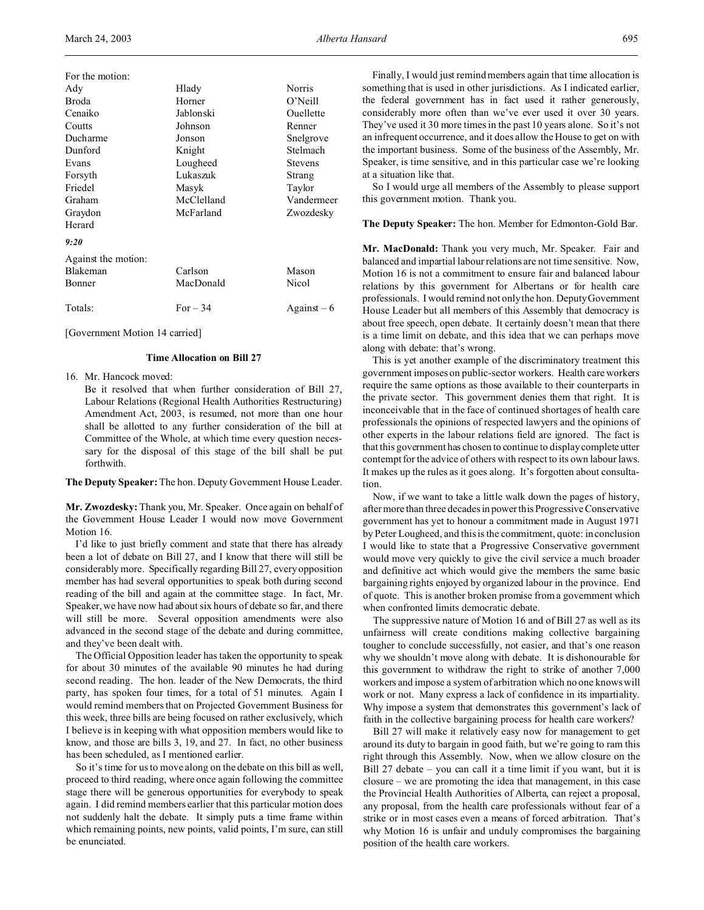| For the motion:     |            |              |
|---------------------|------------|--------------|
| Ady                 | Hlady      | Norris       |
| Broda               | Horner     | $O'$ Neill   |
| Cenaiko             | Jablonski  | Ouellette    |
| Coutts              | Johnson    | Renner       |
| Ducharme            | Jonson     | Snelgrove    |
| Dunford             | Knight     | Stelmach     |
| Evans               | Lougheed   | Stevens      |
| Forsyth             | Lukaszuk   | Strang       |
| Friedel             | Masyk      | Taylor       |
| Graham              | McClelland | Vandermeer   |
| Graydon             | McFarland  | Zwozdesky    |
| Herard              |            |              |
| 9:20                |            |              |
| Against the motion: |            |              |
| <b>Blakeman</b>     | Carlson    | Mason        |
| Bonner              | MacDonald  | Nicol        |
| Totals:             | $For - 34$ | Against $-6$ |

[Government Motion 14 carried]

### **Time Allocation on Bill 27**

16. Mr. Hancock moved:

Be it resolved that when further consideration of Bill 27, Labour Relations (Regional Health Authorities Restructuring) Amendment Act, 2003, is resumed, not more than one hour shall be allotted to any further consideration of the bill at Committee of the Whole, at which time every question necessary for the disposal of this stage of the bill shall be put forthwith.

**The Deputy Speaker:** The hon. Deputy Government House Leader.

**Mr. Zwozdesky:** Thank you, Mr. Speaker. Once again on behalf of the Government House Leader I would now move Government Motion 16.

I'd like to just briefly comment and state that there has already been a lot of debate on Bill 27, and I know that there will still be considerably more. Specifically regarding Bill 27, every opposition member has had several opportunities to speak both during second reading of the bill and again at the committee stage. In fact, Mr. Speaker, we have now had about six hours of debate so far, and there will still be more. Several opposition amendments were also advanced in the second stage of the debate and during committee, and they've been dealt with.

The Official Opposition leader has taken the opportunity to speak for about 30 minutes of the available 90 minutes he had during second reading. The hon. leader of the New Democrats, the third party, has spoken four times, for a total of 51 minutes. Again I would remind members that on Projected Government Business for this week, three bills are being focused on rather exclusively, which I believe is in keeping with what opposition members would like to know, and those are bills 3, 19, and 27. In fact, no other business has been scheduled, as I mentioned earlier.

So it's time for us to move along on the debate on this bill as well, proceed to third reading, where once again following the committee stage there will be generous opportunities for everybody to speak again. I did remind members earlier that this particular motion does not suddenly halt the debate. It simply puts a time frame within which remaining points, new points, valid points, I'm sure, can still be enunciated.

Finally, I would just remind members again that time allocation is something that is used in other jurisdictions. As I indicated earlier, the federal government has in fact used it rather generously, considerably more often than we've ever used it over 30 years. They've used it 30 more times in the past 10 years alone. So it's not an infrequent occurrence, and it does allow the House to get on with the important business. Some of the business of the Assembly, Mr. Speaker, is time sensitive, and in this particular case we're looking at a situation like that.

So I would urge all members of the Assembly to please support this government motion. Thank you.

### **The Deputy Speaker:** The hon. Member for Edmonton-Gold Bar.

**Mr. MacDonald:** Thank you very much, Mr. Speaker. Fair and balanced and impartial labour relations are not time sensitive. Now, Motion 16 is not a commitment to ensure fair and balanced labour relations by this government for Albertans or for health care professionals. I would remind not only the hon. Deputy Government House Leader but all members of this Assembly that democracy is about free speech, open debate. It certainly doesn't mean that there is a time limit on debate, and this idea that we can perhaps move along with debate: that's wrong.

This is yet another example of the discriminatory treatment this government imposes on public-sector workers. Health care workers require the same options as those available to their counterparts in the private sector. This government denies them that right. It is inconceivable that in the face of continued shortages of health care professionals the opinions of respected lawyers and the opinions of other experts in the labour relations field are ignored. The fact is that this government has chosen to continue to display complete utter contempt for the advice of others with respect to its own labour laws. It makes up the rules as it goes along. It's forgotten about consultation.

Now, if we want to take a little walk down the pages of history, after more than three decades in power this Progressive Conservative government has yet to honour a commitment made in August 1971 by Peter Lougheed, and this is the commitment, quote: in conclusion I would like to state that a Progressive Conservative government would move very quickly to give the civil service a much broader and definitive act which would give the members the same basic bargaining rights enjoyed by organized labour in the province. End of quote. This is another broken promise from a government which when confronted limits democratic debate.

The suppressive nature of Motion 16 and of Bill 27 as well as its unfairness will create conditions making collective bargaining tougher to conclude successfully, not easier, and that's one reason why we shouldn't move along with debate. It is dishonourable for this government to withdraw the right to strike of another 7,000 workers and impose a system of arbitration which no one knows will work or not. Many express a lack of confidence in its impartiality. Why impose a system that demonstrates this government's lack of faith in the collective bargaining process for health care workers?

Bill 27 will make it relatively easy now for management to get around its duty to bargain in good faith, but we're going to ram this right through this Assembly. Now, when we allow closure on the Bill 27 debate – you can call it a time limit if you want, but it is closure – we are promoting the idea that management, in this case the Provincial Health Authorities of Alberta, can reject a proposal, any proposal, from the health care professionals without fear of a strike or in most cases even a means of forced arbitration. That's why Motion 16 is unfair and unduly compromises the bargaining position of the health care workers.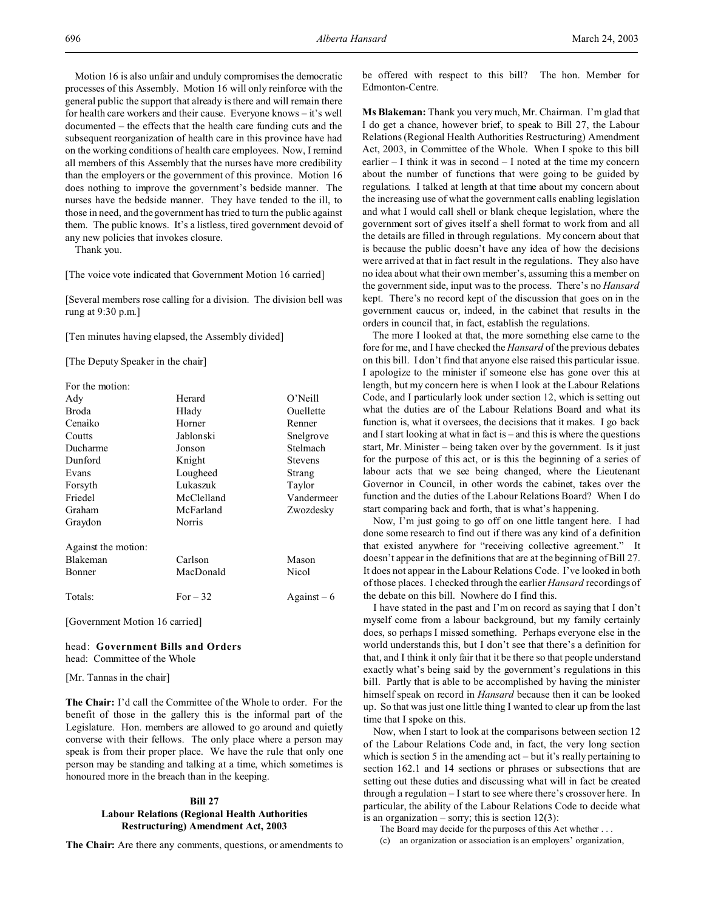Motion 16 is also unfair and unduly compromises the democratic processes of this Assembly. Motion 16 will only reinforce with the general public the support that already is there and will remain there for health care workers and their cause. Everyone knows – it's well documented – the effects that the health care funding cuts and the subsequent reorganization of health care in this province have had on the working conditions of health care employees. Now, I remind all members of this Assembly that the nurses have more credibility than the employers or the government of this province. Motion 16 does nothing to improve the government's bedside manner. The nurses have the bedside manner. They have tended to the ill, to those in need, and the government has tried to turn the public against them. The public knows. It's a listless, tired government devoid of any new policies that invokes closure.

Thank you.

[The voice vote indicated that Government Motion 16 carried]

[Several members rose calling for a division. The division bell was rung at 9:30 p.m.]

[Ten minutes having elapsed, the Assembly divided]

[The Deputy Speaker in the chair]

| Ady                 | Herard     | $O'$ Neill     |
|---------------------|------------|----------------|
| Broda               | Hlady      | Ouellette      |
| Cenaiko             | Horner     | Renner         |
| Coutts              | Jablonski  | Snelgrove      |
| Ducharme            | Jonson     | Stelmach       |
| Dunford             | Knight     | <b>Stevens</b> |
| Evans               | Lougheed   | Strang         |
| Forsyth             | Lukaszuk   | Taylor         |
| Friedel             | McClelland | Vandermeer     |
| Graham              | McFarland  | Zwozdesky      |
| Graydon             | Norris     |                |
| Against the motion: |            |                |
| <b>Blakeman</b>     | Carlson    | Mason          |
| Bonner              | MacDonald  | Nicol          |
| Totals:             | For $-32$  | Against $-6$   |

[Government Motion 16 carried]

## head: **Government Bills and Orders** head: Committee of the Whole

[Mr. Tannas in the chair]

**The Chair:** I'd call the Committee of the Whole to order. For the benefit of those in the gallery this is the informal part of the Legislature. Hon. members are allowed to go around and quietly converse with their fellows. The only place where a person may speak is from their proper place. We have the rule that only one person may be standing and talking at a time, which sometimes is honoured more in the breach than in the keeping.

### **Bill 27**

# **Labour Relations (Regional Health Authorities Restructuring) Amendment Act, 2003**

**The Chair:** Are there any comments, questions, or amendments to

be offered with respect to this bill? The hon. Member for Edmonton-Centre.

**Ms Blakeman:** Thank you very much, Mr. Chairman. I'm glad that I do get a chance, however brief, to speak to Bill 27, the Labour Relations (Regional Health Authorities Restructuring) Amendment Act, 2003, in Committee of the Whole. When I spoke to this bill earlier – I think it was in second – I noted at the time my concern about the number of functions that were going to be guided by regulations. I talked at length at that time about my concern about the increasing use of what the government calls enabling legislation and what I would call shell or blank cheque legislation, where the government sort of gives itself a shell format to work from and all the details are filled in through regulations. My concern about that is because the public doesn't have any idea of how the decisions were arrived at that in fact result in the regulations. They also have no idea about what their own member's, assuming this a member on the government side, input was to the process. There's no *Hansard* kept. There's no record kept of the discussion that goes on in the government caucus or, indeed, in the cabinet that results in the orders in council that, in fact, establish the regulations.

The more I looked at that, the more something else came to the fore for me, and I have checked the *Hansard* of the previous debates on this bill. I don't find that anyone else raised this particular issue. I apologize to the minister if someone else has gone over this at length, but my concern here is when I look at the Labour Relations Code, and I particularly look under section 12, which is setting out what the duties are of the Labour Relations Board and what its function is, what it oversees, the decisions that it makes. I go back and I start looking at what in fact is – and this is where the questions start, Mr. Minister – being taken over by the government. Is it just for the purpose of this act, or is this the beginning of a series of labour acts that we see being changed, where the Lieutenant Governor in Council, in other words the cabinet, takes over the function and the duties of the Labour Relations Board? When I do start comparing back and forth, that is what's happening.

Now, I'm just going to go off on one little tangent here. I had done some research to find out if there was any kind of a definition that existed anywhere for "receiving collective agreement." It doesn't appear in the definitions that are at the beginning of Bill 27. It does not appear in the Labour Relations Code. I've looked in both of those places. I checked through the earlier *Hansard* recordings of the debate on this bill. Nowhere do I find this.

I have stated in the past and I'm on record as saying that I don't myself come from a labour background, but my family certainly does, so perhaps I missed something. Perhaps everyone else in the world understands this, but I don't see that there's a definition for that, and I think it only fair that it be there so that people understand exactly what's being said by the government's regulations in this bill. Partly that is able to be accomplished by having the minister himself speak on record in *Hansard* because then it can be looked up. So that was just one little thing I wanted to clear up from the last time that I spoke on this.

Now, when I start to look at the comparisons between section 12 of the Labour Relations Code and, in fact, the very long section which is section 5 in the amending act – but it's really pertaining to section 162.1 and 14 sections or phrases or subsections that are setting out these duties and discussing what will in fact be created through a regulation – I start to see where there's crossover here. In particular, the ability of the Labour Relations Code to decide what is an organization – sorry; this is section  $12(3)$ :

The Board may decide for the purposes of this Act whether . . .

(c) an organization or association is an employers' organization,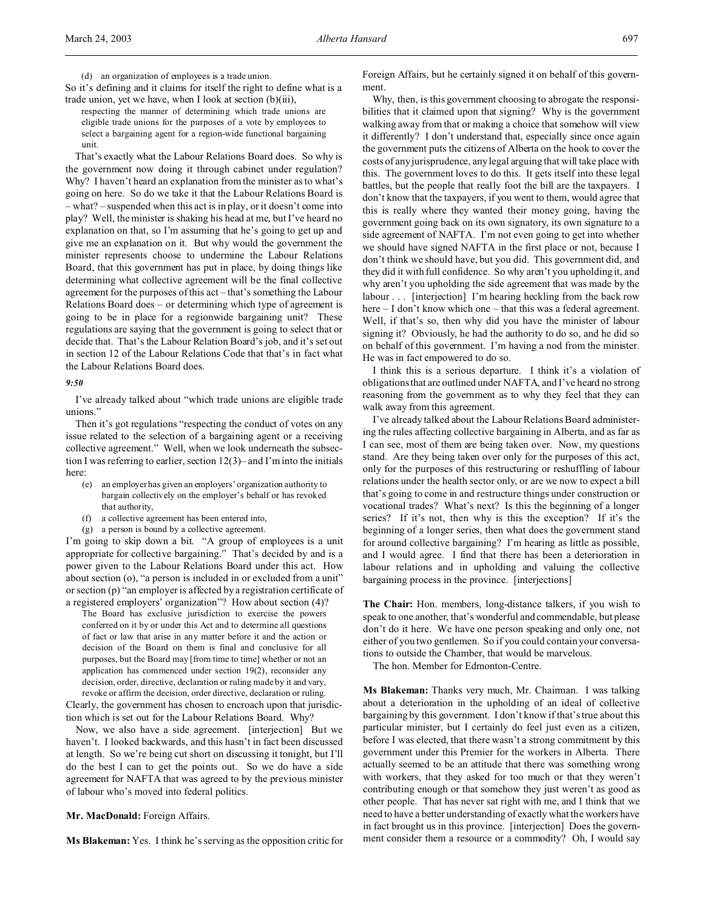(d) an organization of employees is a trade union.

So it's defining and it claims for itself the right to define what is a trade union, yet we have, when I look at section (b)(iii),

respecting the manner of determining which trade unions are eligible trade unions for the purposes of a vote by employees to select a bargaining agent for a region-wide functional bargaining unit.

That's exactly what the Labour Relations Board does. So why is the government now doing it through cabinet under regulation? Why? I haven't heard an explanation from the minister as to what's going on here. So do we take it that the Labour Relations Board is – what? – suspended when this act is in play, or it doesn't come into play? Well, the minister is shaking his head at me, but I've heard no explanation on that, so I'm assuming that he's going to get up and give me an explanation on it. But why would the government the minister represents choose to undermine the Labour Relations Board, that this government has put in place, by doing things like determining what collective agreement will be the final collective agreement for the purposes of this act – that's something the Labour Relations Board does – or determining which type of agreement is going to be in place for a regionwide bargaining unit? These regulations are saying that the government is going to select that or decide that. That's the Labour Relation Board's job, and it's set out in section 12 of the Labour Relations Code that that's in fact what the Labour Relations Board does.

### *9:50*

I've already talked about "which trade unions are eligible trade unions."

Then it's got regulations "respecting the conduct of votes on any issue related to the selection of a bargaining agent or a receiving collective agreement." Well, when we look underneath the subsection I was referring to earlier, section 12(3)– and I'm into the initials here:

- (e) an employer has given an employers' organization authority to bargain collectively on the employer's behalf or has revoked that authority,
- a collective agreement has been entered into,
- (g) a person is bound by a collective agreement.

I'm going to skip down a bit. "A group of employees is a unit appropriate for collective bargaining." That's decided by and is a power given to the Labour Relations Board under this act. How about section (o), "a person is included in or excluded from a unit" or section (p) "an employer is affected by a registration certificate of a registered employers' organization"? How about section (4)?

The Board has exclusive jurisdiction to exercise the powers conferred on it by or under this Act and to determine all questions of fact or law that arise in any matter before it and the action or decision of the Board on them is final and conclusive for all purposes, but the Board may [from time to time] whether or not an application has commenced under section 19(2), reconsider any decision, order, directive, declaration or ruling made by it and vary, revoke or affirm the decision, order directive, declaration or ruling.

Clearly, the government has chosen to encroach upon that jurisdiction which is set out for the Labour Relations Board. Why?

Now, we also have a side agreement. [interjection] But we haven't. I looked backwards, and this hasn't in fact been discussed at length. So we're being cut short on discussing it tonight, but I'll do the best I can to get the points out. So we do have a side agreement for NAFTA that was agreed to by the previous minister of labour who's moved into federal politics.

**Mr. MacDonald:** Foreign Affairs.

**Ms Blakeman:** Yes. I think he's serving as the opposition critic for

Foreign Affairs, but he certainly signed it on behalf of this government.

Why, then, is this government choosing to abrogate the responsibilities that it claimed upon that signing? Why is the government walking away from that or making a choice that somehow will view it differently? I don't understand that, especially since once again the government puts the citizens of Alberta on the hook to cover the costs of any jurisprudence, any legal arguing that will take place with this. The government loves to do this. It gets itself into these legal battles, but the people that really foot the bill are the taxpayers. I don't know that the taxpayers, if you went to them, would agree that this is really where they wanted their money going, having the government going back on its own signatory, its own signature to a side agreement of NAFTA. I'm not even going to get into whether we should have signed NAFTA in the first place or not, because I don't think we should have, but you did. This government did, and they did it with full confidence. So why aren't you upholding it, and why aren't you upholding the side agreement that was made by the labour . . . [interjection] I'm hearing heckling from the back row here – I don't know which one – that this was a federal agreement. Well, if that's so, then why did you have the minister of labour signing it? Obviously, he had the authority to do so, and he did so on behalf of this government. I'm having a nod from the minister. He was in fact empowered to do so.

I think this is a serious departure. I think it's a violation of obligations that are outlined under NAFTA, and I've heard no strong reasoning from the government as to why they feel that they can walk away from this agreement.

I've already talked about the Labour Relations Board administering the rules affecting collective bargaining in Alberta, and as far as I can see, most of them are being taken over. Now, my questions stand. Are they being taken over only for the purposes of this act, only for the purposes of this restructuring or reshuffling of labour relations under the health sector only, or are we now to expect a bill that's going to come in and restructure things under construction or vocational trades? What's next? Is this the beginning of a longer series? If it's not, then why is this the exception? If it's the beginning of a longer series, then what does the government stand for around collective bargaining? I'm hearing as little as possible, and I would agree. I find that there has been a deterioration in labour relations and in upholding and valuing the collective bargaining process in the province. [interjections]

**The Chair:** Hon. members, long-distance talkers, if you wish to speak to one another, that's wonderful and commendable, but please don't do it here. We have one person speaking and only one, not either of you two gentlemen. So if you could contain your conversations to outside the Chamber, that would be marvelous.

The hon. Member for Edmonton-Centre.

**Ms Blakeman:** Thanks very much, Mr. Chairman. I was talking about a deterioration in the upholding of an ideal of collective bargaining by this government. I don't know if that's true about this particular minister, but I certainly do feel just even as a citizen, before I was elected, that there wasn't a strong commitment by this government under this Premier for the workers in Alberta. There actually seemed to be an attitude that there was something wrong with workers, that they asked for too much or that they weren't contributing enough or that somehow they just weren't as good as other people. That has never sat right with me, and I think that we need to have a better understanding of exactly what the workers have in fact brought us in this province. [interjection] Does the government consider them a resource or a commodity? Oh, I would say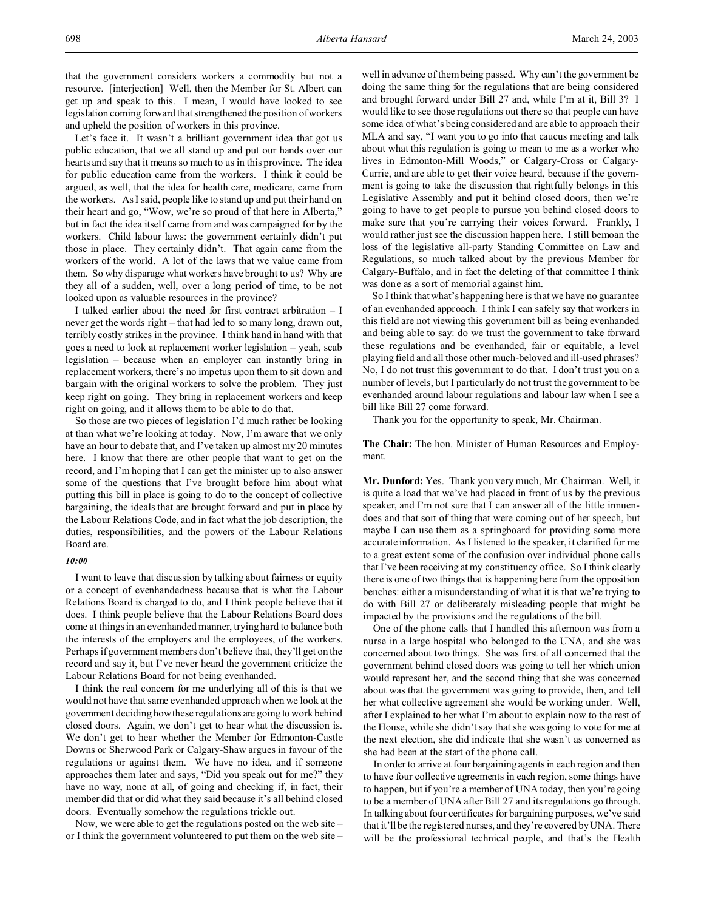that the government considers workers a commodity but not a resource. [interjection] Well, then the Member for St. Albert can get up and speak to this. I mean, I would have looked to see legislation coming forward that strengthened the position of workers and upheld the position of workers in this province.

Let's face it. It wasn't a brilliant government idea that got us public education, that we all stand up and put our hands over our hearts and say that it means so much to us in this province. The idea for public education came from the workers. I think it could be argued, as well, that the idea for health care, medicare, came from the workers. As I said, people like to stand up and put their hand on their heart and go, "Wow, we're so proud of that here in Alberta," but in fact the idea itself came from and was campaigned for by the workers. Child labour laws: the government certainly didn't put those in place. They certainly didn't. That again came from the workers of the world. A lot of the laws that we value came from them. So why disparage what workers have brought to us? Why are they all of a sudden, well, over a long period of time, to be not looked upon as valuable resources in the province?

I talked earlier about the need for first contract arbitration – I never get the words right – that had led to so many long, drawn out, terribly costly strikes in the province. I think hand in hand with that goes a need to look at replacement worker legislation – yeah, scab legislation – because when an employer can instantly bring in replacement workers, there's no impetus upon them to sit down and bargain with the original workers to solve the problem. They just keep right on going. They bring in replacement workers and keep right on going, and it allows them to be able to do that.

So those are two pieces of legislation I'd much rather be looking at than what we're looking at today. Now, I'm aware that we only have an hour to debate that, and I've taken up almost my 20 minutes here. I know that there are other people that want to get on the record, and I'm hoping that I can get the minister up to also answer some of the questions that I've brought before him about what putting this bill in place is going to do to the concept of collective bargaining, the ideals that are brought forward and put in place by the Labour Relations Code, and in fact what the job description, the duties, responsibilities, and the powers of the Labour Relations Board are.

### *10:00*

I want to leave that discussion by talking about fairness or equity or a concept of evenhandedness because that is what the Labour Relations Board is charged to do, and I think people believe that it does. I think people believe that the Labour Relations Board does come at things in an evenhanded manner, trying hard to balance both the interests of the employers and the employees, of the workers. Perhaps if government members don't believe that, they'll get on the record and say it, but I've never heard the government criticize the Labour Relations Board for not being evenhanded.

I think the real concern for me underlying all of this is that we would not have that same evenhanded approach when we look at the government deciding how these regulations are going to work behind closed doors. Again, we don't get to hear what the discussion is. We don't get to hear whether the Member for Edmonton-Castle Downs or Sherwood Park or Calgary-Shaw argues in favour of the regulations or against them. We have no idea, and if someone approaches them later and says, "Did you speak out for me?" they have no way, none at all, of going and checking if, in fact, their member did that or did what they said because it's all behind closed doors. Eventually somehow the regulations trickle out.

Now, we were able to get the regulations posted on the web site – or I think the government volunteered to put them on the web site –

well in advance of them being passed. Why can't the government be doing the same thing for the regulations that are being considered and brought forward under Bill 27 and, while I'm at it, Bill 3? I would like to see those regulations out there so that people can have some idea of what's being considered and are able to approach their MLA and say, "I want you to go into that caucus meeting and talk about what this regulation is going to mean to me as a worker who lives in Edmonton-Mill Woods," or Calgary-Cross or Calgary-Currie, and are able to get their voice heard, because if the government is going to take the discussion that rightfully belongs in this Legislative Assembly and put it behind closed doors, then we're going to have to get people to pursue you behind closed doors to make sure that you're carrying their voices forward. Frankly, I would rather just see the discussion happen here. I still bemoan the loss of the legislative all-party Standing Committee on Law and Regulations, so much talked about by the previous Member for Calgary-Buffalo, and in fact the deleting of that committee I think was done as a sort of memorial against him.

So I think that what's happening here is that we have no guarantee of an evenhanded approach. I think I can safely say that workers in this field are not viewing this government bill as being evenhanded and being able to say: do we trust the government to take forward these regulations and be evenhanded, fair or equitable, a level playing field and all those other much-beloved and ill-used phrases? No, I do not trust this government to do that. I don't trust you on a number of levels, but I particularly do not trust the government to be evenhanded around labour regulations and labour law when I see a bill like Bill 27 come forward.

Thank you for the opportunity to speak, Mr. Chairman.

**The Chair:** The hon. Minister of Human Resources and Employment.

**Mr. Dunford:** Yes. Thank you very much, Mr. Chairman. Well, it is quite a load that we've had placed in front of us by the previous speaker, and I'm not sure that I can answer all of the little innuendoes and that sort of thing that were coming out of her speech, but maybe I can use them as a springboard for providing some more accurate information. As I listened to the speaker, it clarified for me to a great extent some of the confusion over individual phone calls that I've been receiving at my constituency office. So I think clearly there is one of two things that is happening here from the opposition benches: either a misunderstanding of what it is that we're trying to do with Bill 27 or deliberately misleading people that might be impacted by the provisions and the regulations of the bill.

One of the phone calls that I handled this afternoon was from a nurse in a large hospital who belonged to the UNA, and she was concerned about two things. She was first of all concerned that the government behind closed doors was going to tell her which union would represent her, and the second thing that she was concerned about was that the government was going to provide, then, and tell her what collective agreement she would be working under. Well, after I explained to her what I'm about to explain now to the rest of the House, while she didn't say that she was going to vote for me at the next election, she did indicate that she wasn't as concerned as she had been at the start of the phone call.

In order to arrive at four bargaining agents in each region and then to have four collective agreements in each region, some things have to happen, but if you're a member of UNA today, then you're going to be a member of UNA after Bill 27 and its regulations go through. In talking about four certificates for bargaining purposes, we've said that it'll be the registered nurses, and they're covered by UNA. There will be the professional technical people, and that's the Health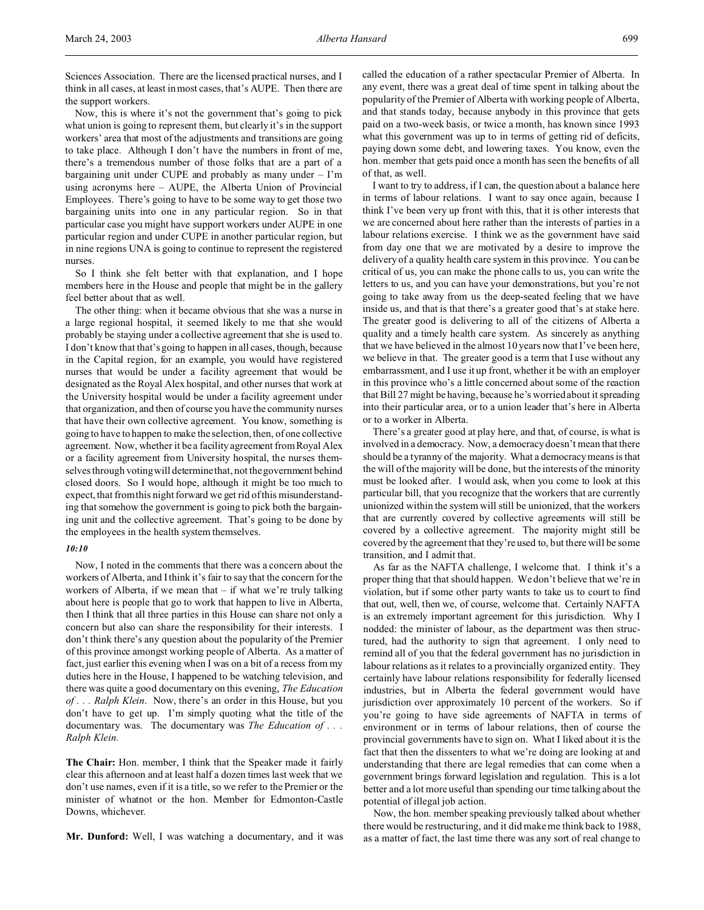Sciences Association. There are the licensed practical nurses, and I think in all cases, at least in most cases, that's AUPE. Then there are the support workers.

Now, this is where it's not the government that's going to pick what union is going to represent them, but clearly it's in the support workers' area that most of the adjustments and transitions are going to take place. Although I don't have the numbers in front of me, there's a tremendous number of those folks that are a part of a bargaining unit under CUPE and probably as many under – I'm using acronyms here – AUPE, the Alberta Union of Provincial Employees. There's going to have to be some way to get those two bargaining units into one in any particular region. So in that particular case you might have support workers under AUPE in one particular region and under CUPE in another particular region, but in nine regions UNA is going to continue to represent the registered nurses.

So I think she felt better with that explanation, and I hope members here in the House and people that might be in the gallery feel better about that as well.

The other thing: when it became obvious that she was a nurse in a large regional hospital, it seemed likely to me that she would probably be staying under a collective agreement that she is used to. I don't know that that's going to happen in all cases, though, because in the Capital region, for an example, you would have registered nurses that would be under a facility agreement that would be designated as the Royal Alex hospital, and other nurses that work at the University hospital would be under a facility agreement under that organization, and then of course you have the community nurses that have their own collective agreement. You know, something is going to have to happen to make the selection, then, of one collective agreement. Now, whether it be a facility agreement from Royal Alex or a facility agreement from University hospital, the nurses themselves through voting will determine that, not the government behind closed doors. So I would hope, although it might be too much to expect, that from this night forward we get rid of this misunderstanding that somehow the government is going to pick both the bargaining unit and the collective agreement. That's going to be done by the employees in the health system themselves.

### *10:10*

Now, I noted in the comments that there was a concern about the workers of Alberta, and I think it's fair to say that the concern for the workers of Alberta, if we mean that  $-$  if what we're truly talking about here is people that go to work that happen to live in Alberta, then I think that all three parties in this House can share not only a concern but also can share the responsibility for their interests. I don't think there's any question about the popularity of the Premier of this province amongst working people of Alberta. As a matter of fact, just earlier this evening when I was on a bit of a recess from my duties here in the House, I happened to be watching television, and there was quite a good documentary on this evening, *The Education of . . . Ralph Klein*. Now, there's an order in this House, but you don't have to get up. I'm simply quoting what the title of the documentary was. The documentary was *The Education of . . . Ralph Klein*.

**The Chair:** Hon. member, I think that the Speaker made it fairly clear this afternoon and at least half a dozen times last week that we don't use names, even if it is a title, so we refer to the Premier or the minister of whatnot or the hon. Member for Edmonton-Castle Downs, whichever.

**Mr. Dunford:** Well, I was watching a documentary, and it was

called the education of a rather spectacular Premier of Alberta. In any event, there was a great deal of time spent in talking about the popularity of the Premier of Alberta with working people of Alberta, and that stands today, because anybody in this province that gets paid on a two-week basis, or twice a month, has known since 1993 what this government was up to in terms of getting rid of deficits, paying down some debt, and lowering taxes. You know, even the hon. member that gets paid once a month has seen the benefits of all of that, as well.

I want to try to address, if I can, the question about a balance here in terms of labour relations. I want to say once again, because I think I've been very up front with this, that it is other interests that we are concerned about here rather than the interests of parties in a labour relations exercise. I think we as the government have said from day one that we are motivated by a desire to improve the delivery of a quality health care system in this province. You can be critical of us, you can make the phone calls to us, you can write the letters to us, and you can have your demonstrations, but you're not going to take away from us the deep-seated feeling that we have inside us, and that is that there's a greater good that's at stake here. The greater good is delivering to all of the citizens of Alberta a quality and a timely health care system. As sincerely as anything that we have believed in the almost 10 years now that I've been here, we believe in that. The greater good is a term that I use without any embarrassment, and I use it up front, whether it be with an employer in this province who's a little concerned about some of the reaction that Bill 27 might be having, because he's worried about it spreading into their particular area, or to a union leader that's here in Alberta or to a worker in Alberta.

There's a greater good at play here, and that, of course, is what is involved in a democracy. Now, a democracy doesn't mean that there should be a tyranny of the majority. What a democracy means is that the will of the majority will be done, but the interests of the minority must be looked after. I would ask, when you come to look at this particular bill, that you recognize that the workers that are currently unionized within the system will still be unionized, that the workers that are currently covered by collective agreements will still be covered by a collective agreement. The majority might still be covered by the agreement that they're used to, but there will be some transition, and I admit that.

As far as the NAFTA challenge, I welcome that. I think it's a proper thing that that should happen. We don't believe that we're in violation, but if some other party wants to take us to court to find that out, well, then we, of course, welcome that. Certainly NAFTA is an extremely important agreement for this jurisdiction. Why I nodded: the minister of labour, as the department was then structured, had the authority to sign that agreement. I only need to remind all of you that the federal government has no jurisdiction in labour relations as it relates to a provincially organized entity. They certainly have labour relations responsibility for federally licensed industries, but in Alberta the federal government would have jurisdiction over approximately 10 percent of the workers. So if you're going to have side agreements of NAFTA in terms of environment or in terms of labour relations, then of course the provincial governments have to sign on. What I liked about it is the fact that then the dissenters to what we're doing are looking at and understanding that there are legal remedies that can come when a government brings forward legislation and regulation. This is a lot better and a lot more useful than spending our time talking about the potential of illegal job action.

Now, the hon. member speaking previously talked about whether there would be restructuring, and it did make me think back to 1988, as a matter of fact, the last time there was any sort of real change to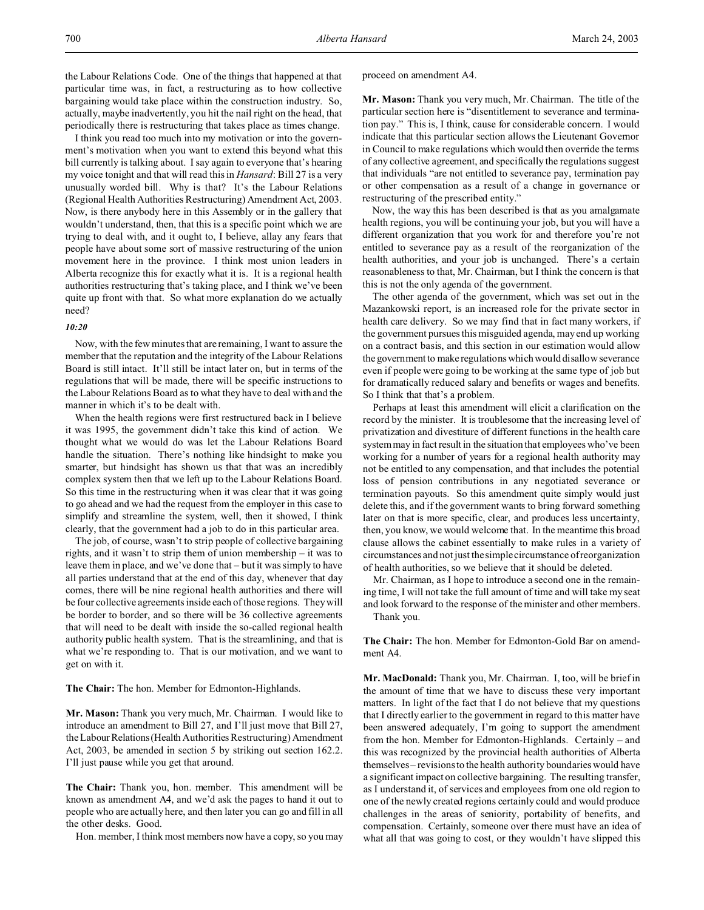the Labour Relations Code. One of the things that happened at that particular time was, in fact, a restructuring as to how collective bargaining would take place within the construction industry. So, actually, maybe inadvertently, you hit the nail right on the head, that periodically there is restructuring that takes place as times change.

I think you read too much into my motivation or into the government's motivation when you want to extend this beyond what this bill currently is talking about. I say again to everyone that's hearing my voice tonight and that will read this in *Hansard*: Bill 27 is a very unusually worded bill. Why is that? It's the Labour Relations (Regional Health Authorities Restructuring) Amendment Act, 2003. Now, is there anybody here in this Assembly or in the gallery that wouldn't understand, then, that this is a specific point which we are trying to deal with, and it ought to, I believe, allay any fears that people have about some sort of massive restructuring of the union movement here in the province. I think most union leaders in Alberta recognize this for exactly what it is. It is a regional health authorities restructuring that's taking place, and I think we've been quite up front with that. So what more explanation do we actually need?

## *10:20*

Now, with the few minutes that are remaining, I want to assure the member that the reputation and the integrity of the Labour Relations Board is still intact. It'll still be intact later on, but in terms of the regulations that will be made, there will be specific instructions to the Labour Relations Board as to what they have to deal with and the manner in which it's to be dealt with.

When the health regions were first restructured back in I believe it was 1995, the government didn't take this kind of action. We thought what we would do was let the Labour Relations Board handle the situation. There's nothing like hindsight to make you smarter, but hindsight has shown us that that was an incredibly complex system then that we left up to the Labour Relations Board. So this time in the restructuring when it was clear that it was going to go ahead and we had the request from the employer in this case to simplify and streamline the system, well, then it showed, I think clearly, that the government had a job to do in this particular area.

The job, of course, wasn't to strip people of collective bargaining rights, and it wasn't to strip them of union membership – it was to leave them in place, and we've done that – but it was simply to have all parties understand that at the end of this day, whenever that day comes, there will be nine regional health authorities and there will be four collective agreements inside each of those regions. They will be border to border, and so there will be 36 collective agreements that will need to be dealt with inside the so-called regional health authority public health system. That is the streamlining, and that is what we're responding to. That is our motivation, and we want to get on with it.

**The Chair:** The hon. Member for Edmonton-Highlands.

**Mr. Mason:** Thank you very much, Mr. Chairman. I would like to introduce an amendment to Bill 27, and I'll just move that Bill 27, the Labour Relations (Health Authorities Restructuring) Amendment Act, 2003, be amended in section 5 by striking out section 162.2. I'll just pause while you get that around.

**The Chair:** Thank you, hon. member. This amendment will be known as amendment A4, and we'd ask the pages to hand it out to people who are actually here, and then later you can go and fill in all the other desks. Good.

Hon. member, I think most members now have a copy, so you may

proceed on amendment A4.

**Mr. Mason:** Thank you very much, Mr. Chairman. The title of the particular section here is "disentitlement to severance and termination pay." This is, I think, cause for considerable concern. I would indicate that this particular section allows the Lieutenant Governor in Council to make regulations which would then override the terms of any collective agreement, and specifically the regulations suggest that individuals "are not entitled to severance pay, termination pay or other compensation as a result of a change in governance or restructuring of the prescribed entity."

Now, the way this has been described is that as you amalgamate health regions, you will be continuing your job, but you will have a different organization that you work for and therefore you're not entitled to severance pay as a result of the reorganization of the health authorities, and your job is unchanged. There's a certain reasonableness to that, Mr. Chairman, but I think the concern is that this is not the only agenda of the government.

The other agenda of the government, which was set out in the Mazankowski report, is an increased role for the private sector in health care delivery. So we may find that in fact many workers, if the government pursues this misguided agenda, may end up working on a contract basis, and this section in our estimation would allow the government to make regulations which would disallow severance even if people were going to be working at the same type of job but for dramatically reduced salary and benefits or wages and benefits. So I think that that's a problem.

Perhaps at least this amendment will elicit a clarification on the record by the minister. It is troublesome that the increasing level of privatization and divestiture of different functions in the health care system may in fact result in the situation that employees who've been working for a number of years for a regional health authority may not be entitled to any compensation, and that includes the potential loss of pension contributions in any negotiated severance or termination payouts. So this amendment quite simply would just delete this, and if the government wants to bring forward something later on that is more specific, clear, and produces less uncertainty, then, you know, we would welcome that. In the meantime this broad clause allows the cabinet essentially to make rules in a variety of circumstances and not just the simple circumstance of reorganization of health authorities, so we believe that it should be deleted.

Mr. Chairman, as I hope to introduce a second one in the remaining time, I will not take the full amount of time and will take my seat and look forward to the response of the minister and other members. Thank you.

**The Chair:** The hon. Member for Edmonton-Gold Bar on amendment A4

**Mr. MacDonald:** Thank you, Mr. Chairman. I, too, will be brief in the amount of time that we have to discuss these very important matters. In light of the fact that I do not believe that my questions that I directly earlier to the government in regard to this matter have been answered adequately, I'm going to support the amendment from the hon. Member for Edmonton-Highlands. Certainly – and this was recognized by the provincial health authorities of Alberta themselves – revisions to the health authority boundaries would have a significant impact on collective bargaining. The resulting transfer, as I understand it, of services and employees from one old region to one of the newly created regions certainly could and would produce challenges in the areas of seniority, portability of benefits, and compensation. Certainly, someone over there must have an idea of what all that was going to cost, or they wouldn't have slipped this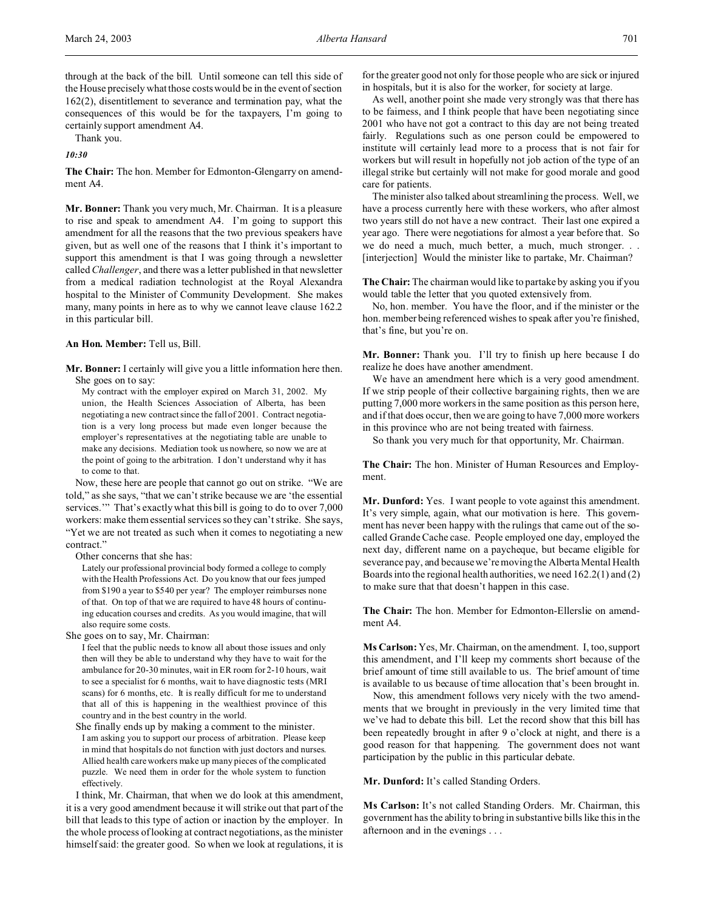through at the back of the bill. Until someone can tell this side of the House precisely what those costs would be in the event of section 162(2), disentitlement to severance and termination pay, what the consequences of this would be for the taxpayers, I'm going to certainly support amendment A4.

Thank you.

*10:30*

**The Chair:** The hon. Member for Edmonton-Glengarry on amendment A4.

**Mr. Bonner:** Thank you very much, Mr. Chairman. It is a pleasure to rise and speak to amendment A4. I'm going to support this amendment for all the reasons that the two previous speakers have given, but as well one of the reasons that I think it's important to support this amendment is that I was going through a newsletter called *Challenger*, and there was a letter published in that newsletter from a medical radiation technologist at the Royal Alexandra hospital to the Minister of Community Development. She makes many, many points in here as to why we cannot leave clause 162.2 in this particular bill.

**An Hon. Member:** Tell us, Bill.

**Mr. Bonner:** I certainly will give you a little information here then. She goes on to say:

My contract with the employer expired on March 31, 2002. My union, the Health Sciences Association of Alberta, has been negotiating a new contract since the fall of 2001. Contract negotiation is a very long process but made even longer because the employer's representatives at the negotiating table are unable to make any decisions. Mediation took us nowhere, so now we are at the point of going to the arbitration. I don't understand why it has to come to that.

Now, these here are people that cannot go out on strike. "We are told," as she says, "that we can't strike because we are 'the essential services." That's exactly what this bill is going to do to over 7,000 workers: make them essential services so they can't strike. She says, "Yet we are not treated as such when it comes to negotiating a new contract."

Other concerns that she has:

Lately our professional provincial body formed a college to comply with the Health Professions Act. Do you know that our fees jumped from \$190 a year to \$540 per year? The employer reimburses none of that. On top of that we are required to have 48 hours of continuing education courses and credits. As you would imagine, that will also require some costs.

She goes on to say, Mr. Chairman:

I feel that the public needs to know all about those issues and only then will they be able to understand why they have to wait for the ambulance for 20-30 minutes, wait in ER room for 2-10 hours, wait to see a specialist for 6 months, wait to have diagnostic tests (MRI scans) for 6 months, etc. It is really difficult for me to understand that all of this is happening in the wealthiest province of this country and in the best country in the world.

She finally ends up by making a comment to the minister. I am asking you to support our process of arbitration. Please keep in mind that hospitals do not function with just doctors and nurses. Allied health care workers make up many pieces of the complicated puzzle. We need them in order for the whole system to function effectively.

I think, Mr. Chairman, that when we do look at this amendment, it is a very good amendment because it will strike out that part of the bill that leads to this type of action or inaction by the employer. In the whole process of looking at contract negotiations, as the minister himself said: the greater good. So when we look at regulations, it is

for the greater good not only for those people who are sick or injured in hospitals, but it is also for the worker, for society at large.

As well, another point she made very strongly was that there has to be fairness, and I think people that have been negotiating since 2001 who have not got a contract to this day are not being treated fairly. Regulations such as one person could be empowered to institute will certainly lead more to a process that is not fair for workers but will result in hopefully not job action of the type of an illegal strike but certainly will not make for good morale and good care for patients.

The minister also talked about streamlining the process. Well, we have a process currently here with these workers, who after almost two years still do not have a new contract. Their last one expired a year ago. There were negotiations for almost a year before that. So we do need a much, much better, a much, much stronger. . . [interjection] Would the minister like to partake, Mr. Chairman?

**The Chair:** The chairman would like to partake by asking you if you would table the letter that you quoted extensively from.

No, hon. member. You have the floor, and if the minister or the hon. member being referenced wishes to speak after you're finished, that's fine, but you're on.

**Mr. Bonner:** Thank you. I'll try to finish up here because I do realize he does have another amendment.

We have an amendment here which is a very good amendment. If we strip people of their collective bargaining rights, then we are putting 7,000 more workers in the same position as this person here, and if that does occur, then we are going to have 7,000 more workers in this province who are not being treated with fairness.

So thank you very much for that opportunity, Mr. Chairman.

**The Chair:** The hon. Minister of Human Resources and Employment.

**Mr. Dunford:** Yes. I want people to vote against this amendment. It's very simple, again, what our motivation is here. This government has never been happy with the rulings that came out of the socalled Grande Cache case. People employed one day, employed the next day, different name on a paycheque, but became eligible for severance pay, and because we're moving the Alberta Mental Health Boards into the regional health authorities, we need 162.2(1) and (2) to make sure that that doesn't happen in this case.

**The Chair:** The hon. Member for Edmonton-Ellerslie on amendment A4.

**Ms Carlson:** Yes, Mr. Chairman, on the amendment. I, too, support this amendment, and I'll keep my comments short because of the brief amount of time still available to us. The brief amount of time is available to us because of time allocation that's been brought in.

Now, this amendment follows very nicely with the two amendments that we brought in previously in the very limited time that we've had to debate this bill. Let the record show that this bill has been repeatedly brought in after 9 o'clock at night, and there is a good reason for that happening. The government does not want participation by the public in this particular debate.

**Mr. Dunford:** It's called Standing Orders.

**Ms Carlson:** It's not called Standing Orders. Mr. Chairman, this government has the ability to bring in substantive bills like this in the afternoon and in the evenings . . .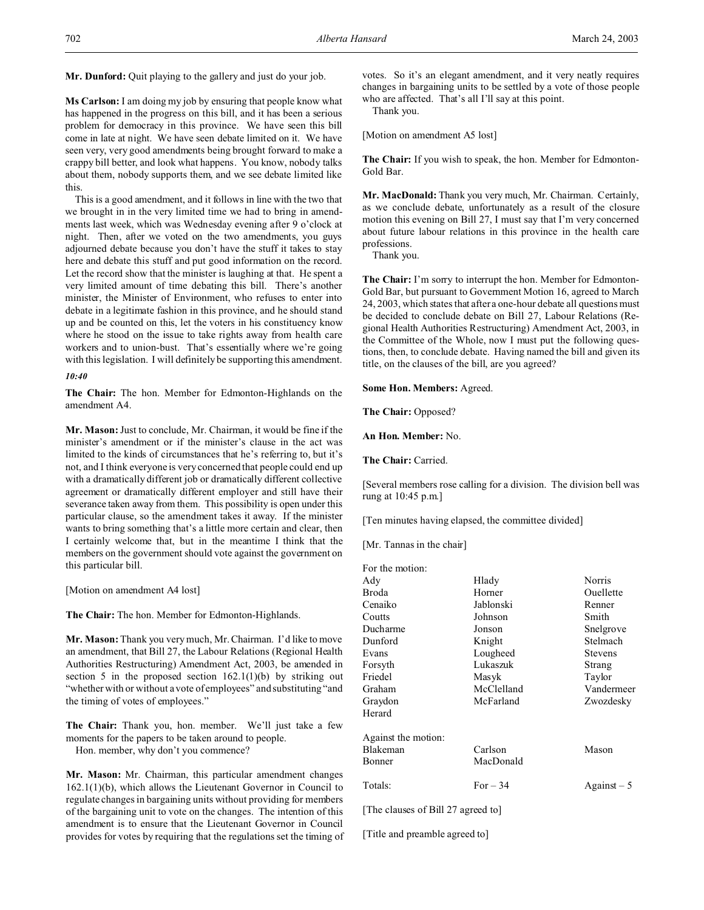**Mr. Dunford:** Quit playing to the gallery and just do your job.

**Ms Carlson:** I am doing my job by ensuring that people know what has happened in the progress on this bill, and it has been a serious problem for democracy in this province. We have seen this bill come in late at night. We have seen debate limited on it. We have seen very, very good amendments being brought forward to make a crappy bill better, and look what happens. You know, nobody talks about them, nobody supports them, and we see debate limited like this.

This is a good amendment, and it follows in line with the two that we brought in in the very limited time we had to bring in amendments last week, which was Wednesday evening after 9 o'clock at night. Then, after we voted on the two amendments, you guys adjourned debate because you don't have the stuff it takes to stay here and debate this stuff and put good information on the record. Let the record show that the minister is laughing at that. He spent a very limited amount of time debating this bill. There's another minister, the Minister of Environment, who refuses to enter into debate in a legitimate fashion in this province, and he should stand up and be counted on this, let the voters in his constituency know where he stood on the issue to take rights away from health care workers and to union-bust. That's essentially where we're going with this legislation. I will definitely be supporting this amendment.

#### *10:40*

**The Chair:** The hon. Member for Edmonton-Highlands on the amendment A4.

**Mr. Mason:** Just to conclude, Mr. Chairman, it would be fine if the minister's amendment or if the minister's clause in the act was limited to the kinds of circumstances that he's referring to, but it's not, and I think everyone is very concerned that people could end up with a dramatically different job or dramatically different collective agreement or dramatically different employer and still have their severance taken away from them. This possibility is open under this particular clause, so the amendment takes it away. If the minister wants to bring something that's a little more certain and clear, then I certainly welcome that, but in the meantime I think that the members on the government should vote against the government on this particular bill.

[Motion on amendment A4 lost]

**The Chair:** The hon. Member for Edmonton-Highlands.

**Mr. Mason:** Thank you very much, Mr. Chairman. I'd like to move an amendment, that Bill 27, the Labour Relations (Regional Health Authorities Restructuring) Amendment Act, 2003, be amended in section 5 in the proposed section  $162.1(1)(b)$  by striking out "whether with or without a vote of employees" and substituting "and the timing of votes of employees."

**The Chair:** Thank you, hon. member. We'll just take a few moments for the papers to be taken around to people.

Hon. member, why don't you commence?

**Mr. Mason:** Mr. Chairman, this particular amendment changes 162.1(1)(b), which allows the Lieutenant Governor in Council to regulate changes in bargaining units without providing for members of the bargaining unit to vote on the changes. The intention of this amendment is to ensure that the Lieutenant Governor in Council provides for votes by requiring that the regulations set the timing of votes. So it's an elegant amendment, and it very neatly requires changes in bargaining units to be settled by a vote of those people who are affected. That's all I'll say at this point.

Thank you.

[Motion on amendment A5 lost]

**The Chair:** If you wish to speak, the hon. Member for Edmonton-Gold Bar.

**Mr. MacDonald:** Thank you very much, Mr. Chairman. Certainly, as we conclude debate, unfortunately as a result of the closure motion this evening on Bill 27, I must say that I'm very concerned about future labour relations in this province in the health care professions.

Thank you.

**The Chair:** I'm sorry to interrupt the hon. Member for Edmonton-Gold Bar, but pursuant to Government Motion 16, agreed to March 24, 2003, which states that after a one-hour debate all questions must be decided to conclude debate on Bill 27, Labour Relations (Regional Health Authorities Restructuring) Amendment Act, 2003, in the Committee of the Whole, now I must put the following questions, then, to conclude debate. Having named the bill and given its title, on the clauses of the bill, are you agreed?

**Some Hon. Members:** Agreed.

**The Chair:** Opposed?

**An Hon. Member:** No.

**The Chair:** Carried.

[Several members rose calling for a division. The division bell was rung at 10:45 p.m.]

[Ten minutes having elapsed, the committee divided]

[Mr. Tannas in the chair]

| For the motion:                    |            |                |
|------------------------------------|------------|----------------|
| Ady                                | Hlady      | Norris         |
| Broda                              | Horner     | Ouellette      |
| Cenaiko                            | Jablonski  | Renner         |
| Coutts                             | Johnson    | Smith          |
| Ducharme                           | Jonson     | Snelgrove      |
| Dunford                            | Knight     | Stelmach       |
| Evans                              | Lougheed   | <b>Stevens</b> |
| Forsyth                            | Lukaszuk   | Strang         |
| Friedel                            | Masyk      | Taylor         |
| Graham                             | McClelland | Vandermeer     |
| Graydon                            | McFarland  | Zwozdesky      |
| Herard                             |            |                |
| Against the motion:                |            |                |
| Blakeman                           | Carlson    | Mason          |
| Bonner                             | MacDonald  |                |
| Totals:                            | For $-34$  | $Against-5$    |
| [The clauses of Bill 27 agreed to] |            |                |

[Title and preamble agreed to]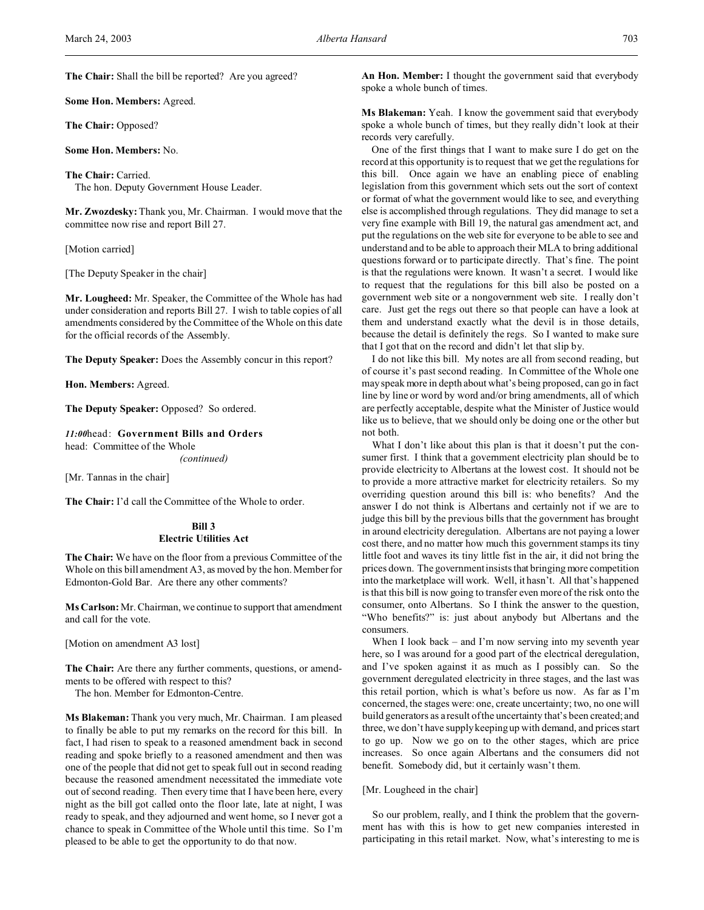**The Chair:** Shall the bill be reported? Are you agreed?

**Some Hon. Members:** Agreed.

**The Chair:** Opposed?

**Some Hon. Members:** No.

**The Chair:** Carried. The hon. Deputy Government House Leader.

**Mr. Zwozdesky:** Thank you, Mr. Chairman. I would move that the committee now rise and report Bill 27.

[Motion carried]

[The Deputy Speaker in the chair]

**Mr. Lougheed:** Mr. Speaker, the Committee of the Whole has had under consideration and reports Bill 27. I wish to table copies of all amendments considered by the Committee of the Whole on this date for the official records of the Assembly.

**The Deputy Speaker:** Does the Assembly concur in this report?

**Hon. Members:** Agreed.

**The Deputy Speaker:** Opposed? So ordered.

*11:00*head: **Government Bills and Orders** head: Committee of the Whole

*(continued)*

[Mr. Tannas in the chair]

**The Chair:** I'd call the Committee of the Whole to order.

## **Bill 3 Electric Utilities Act**

**The Chair:** We have on the floor from a previous Committee of the Whole on this bill amendment A3, as moved by the hon. Member for Edmonton-Gold Bar. Are there any other comments?

**Ms Carlson:** Mr. Chairman, we continue to support that amendment and call for the vote.

[Motion on amendment A3 lost]

**The Chair:** Are there any further comments, questions, or amendments to be offered with respect to this?

The hon. Member for Edmonton-Centre.

**Ms Blakeman:** Thank you very much, Mr. Chairman. I am pleased to finally be able to put my remarks on the record for this bill. In fact, I had risen to speak to a reasoned amendment back in second reading and spoke briefly to a reasoned amendment and then was one of the people that did not get to speak full out in second reading because the reasoned amendment necessitated the immediate vote out of second reading. Then every time that I have been here, every night as the bill got called onto the floor late, late at night, I was ready to speak, and they adjourned and went home, so I never got a chance to speak in Committee of the Whole until this time. So I'm pleased to be able to get the opportunity to do that now.

**An Hon. Member:** I thought the government said that everybody spoke a whole bunch of times.

**Ms Blakeman:** Yeah. I know the government said that everybody spoke a whole bunch of times, but they really didn't look at their records very carefully.

One of the first things that I want to make sure I do get on the record at this opportunity is to request that we get the regulations for this bill. Once again we have an enabling piece of enabling legislation from this government which sets out the sort of context or format of what the government would like to see, and everything else is accomplished through regulations. They did manage to set a very fine example with Bill 19, the natural gas amendment act, and put the regulations on the web site for everyone to be able to see and understand and to be able to approach their MLA to bring additional questions forward or to participate directly. That's fine. The point is that the regulations were known. It wasn't a secret. I would like to request that the regulations for this bill also be posted on a government web site or a nongovernment web site. I really don't care. Just get the regs out there so that people can have a look at them and understand exactly what the devil is in those details, because the detail is definitely the regs. So I wanted to make sure that I got that on the record and didn't let that slip by.

I do not like this bill. My notes are all from second reading, but of course it's past second reading. In Committee of the Whole one may speak more in depth about what's being proposed, can go in fact line by line or word by word and/or bring amendments, all of which are perfectly acceptable, despite what the Minister of Justice would like us to believe, that we should only be doing one or the other but not both.

What I don't like about this plan is that it doesn't put the consumer first. I think that a government electricity plan should be to provide electricity to Albertans at the lowest cost. It should not be to provide a more attractive market for electricity retailers. So my overriding question around this bill is: who benefits? And the answer I do not think is Albertans and certainly not if we are to judge this bill by the previous bills that the government has brought in around electricity deregulation. Albertans are not paying a lower cost there, and no matter how much this government stamps its tiny little foot and waves its tiny little fist in the air, it did not bring the prices down. The government insists that bringing more competition into the marketplace will work. Well, it hasn't. All that's happened is that this bill is now going to transfer even more of the risk onto the consumer, onto Albertans. So I think the answer to the question, "Who benefits?" is: just about anybody but Albertans and the consumers.

When I look back – and I'm now serving into my seventh year here, so I was around for a good part of the electrical deregulation, and I've spoken against it as much as I possibly can. So the government deregulated electricity in three stages, and the last was this retail portion, which is what's before us now. As far as I'm concerned, the stages were: one, create uncertainty; two, no one will build generators as a result of the uncertainty that's been created; and three, we don't have supply keeping up with demand, and prices start to go up. Now we go on to the other stages, which are price increases. So once again Albertans and the consumers did not benefit. Somebody did, but it certainly wasn't them.

## [Mr. Lougheed in the chair]

So our problem, really, and I think the problem that the government has with this is how to get new companies interested in participating in this retail market. Now, what's interesting to me is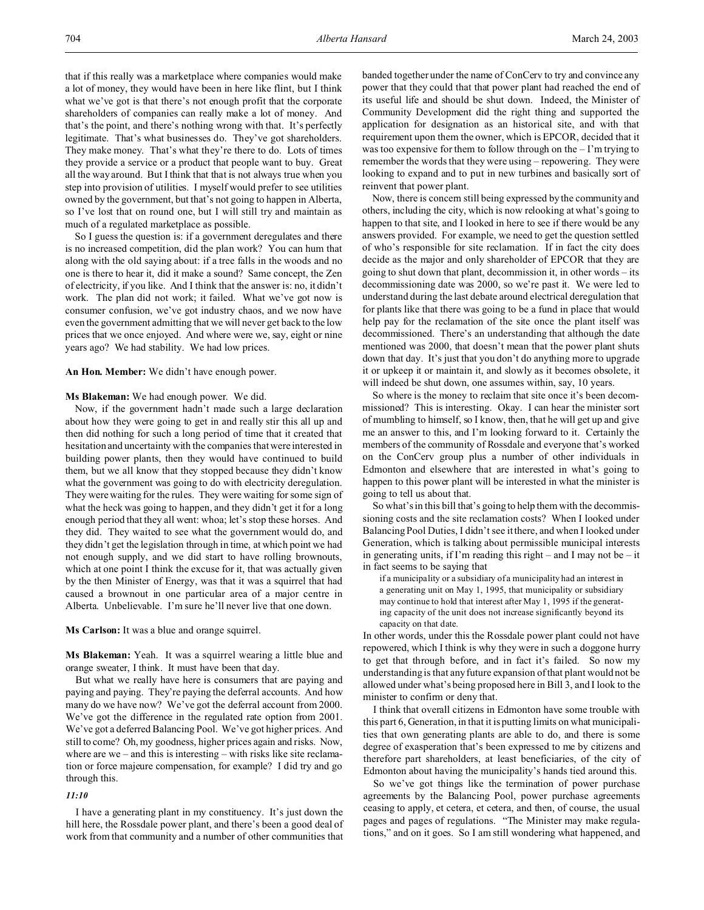that if this really was a marketplace where companies would make a lot of money, they would have been in here like flint, but I think what we've got is that there's not enough profit that the corporate shareholders of companies can really make a lot of money. And that's the point, and there's nothing wrong with that. It's perfectly legitimate. That's what businesses do. They've got shareholders. They make money. That's what they're there to do. Lots of times they provide a service or a product that people want to buy. Great all the way around. But I think that that is not always true when you step into provision of utilities. I myself would prefer to see utilities owned by the government, but that's not going to happen in Alberta, so I've lost that on round one, but I will still try and maintain as much of a regulated marketplace as possible.

So I guess the question is: if a government deregulates and there is no increased competition, did the plan work? You can hum that along with the old saying about: if a tree falls in the woods and no one is there to hear it, did it make a sound? Same concept, the Zen of electricity, if you like. And I think that the answer is: no, it didn't work. The plan did not work; it failed. What we've got now is consumer confusion, we've got industry chaos, and we now have even the government admitting that we will never get back to the low prices that we once enjoyed. And where were we, say, eight or nine years ago? We had stability. We had low prices.

**An Hon. Member:** We didn't have enough power.

### **Ms Blakeman:** We had enough power. We did.

Now, if the government hadn't made such a large declaration about how they were going to get in and really stir this all up and then did nothing for such a long period of time that it created that hesitation and uncertainty with the companies that were interested in building power plants, then they would have continued to build them, but we all know that they stopped because they didn't know what the government was going to do with electricity deregulation. They were waiting for the rules. They were waiting for some sign of what the heck was going to happen, and they didn't get it for a long enough period that they all went: whoa; let's stop these horses. And they did. They waited to see what the government would do, and they didn't get the legislation through in time, at which point we had not enough supply, and we did start to have rolling brownouts, which at one point I think the excuse for it, that was actually given by the then Minister of Energy, was that it was a squirrel that had caused a brownout in one particular area of a major centre in Alberta. Unbelievable. I'm sure he'll never live that one down.

### **Ms Carlson:** It was a blue and orange squirrel.

**Ms Blakeman:** Yeah. It was a squirrel wearing a little blue and orange sweater, I think. It must have been that day.

But what we really have here is consumers that are paying and paying and paying. They're paying the deferral accounts. And how many do we have now? We've got the deferral account from 2000. We've got the difference in the regulated rate option from 2001. We've got a deferred Balancing Pool. We've got higher prices. And still to come? Oh, my goodness, higher prices again and risks. Now, where are we – and this is interesting – with risks like site reclamation or force majeure compensation, for example? I did try and go through this.

## *11:10*

I have a generating plant in my constituency. It's just down the hill here, the Rossdale power plant, and there's been a good deal of work from that community and a number of other communities that

banded together under the name of ConCerv to try and convince any power that they could that that power plant had reached the end of its useful life and should be shut down. Indeed, the Minister of Community Development did the right thing and supported the application for designation as an historical site, and with that requirement upon them the owner, which is EPCOR, decided that it was too expensive for them to follow through on the – I'm trying to remember the words that they were using – repowering. They were looking to expand and to put in new turbines and basically sort of reinvent that power plant.

Now, there is concern still being expressed by the community and others, including the city, which is now relooking at what's going to happen to that site, and I looked in here to see if there would be any answers provided. For example, we need to get the question settled of who's responsible for site reclamation. If in fact the city does decide as the major and only shareholder of EPCOR that they are going to shut down that plant, decommission it, in other words – its decommissioning date was 2000, so we're past it. We were led to understand during the last debate around electrical deregulation that for plants like that there was going to be a fund in place that would help pay for the reclamation of the site once the plant itself was decommissioned. There's an understanding that although the date mentioned was 2000, that doesn't mean that the power plant shuts down that day. It's just that you don't do anything more to upgrade it or upkeep it or maintain it, and slowly as it becomes obsolete, it will indeed be shut down, one assumes within, say, 10 years.

So where is the money to reclaim that site once it's been decommissioned? This is interesting. Okay. I can hear the minister sort of mumbling to himself, so I know, then, that he will get up and give me an answer to this, and I'm looking forward to it. Certainly the members of the community of Rossdale and everyone that's worked on the ConCerv group plus a number of other individuals in Edmonton and elsewhere that are interested in what's going to happen to this power plant will be interested in what the minister is going to tell us about that.

So what's in this bill that's going to help them with the decommissioning costs and the site reclamation costs? When I looked under Balancing Pool Duties, I didn't see it there, and when I looked under Generation, which is talking about permissible municipal interests in generating units, if I'm reading this right – and I may not be – it in fact seems to be saying that

if a municipality or a subsidiary of a municipality had an interest in a generating unit on May 1, 1995, that municipality or subsidiary may continue to hold that interest after May 1, 1995 if the generating capacity of the unit does not increase significantly beyond its capacity on that date.

In other words, under this the Rossdale power plant could not have repowered, which I think is why they were in such a doggone hurry to get that through before, and in fact it's failed. So now my understanding is that any future expansion of that plant would not be allowed under what's being proposed here in Bill 3, and I look to the minister to confirm or deny that.

I think that overall citizens in Edmonton have some trouble with this part 6, Generation, in that it is putting limits on what municipalities that own generating plants are able to do, and there is some degree of exasperation that's been expressed to me by citizens and therefore part shareholders, at least beneficiaries, of the city of Edmonton about having the municipality's hands tied around this.

So we've got things like the termination of power purchase agreements by the Balancing Pool, power purchase agreements ceasing to apply, et cetera, et cetera, and then, of course, the usual pages and pages of regulations. "The Minister may make regulations," and on it goes. So I am still wondering what happened, and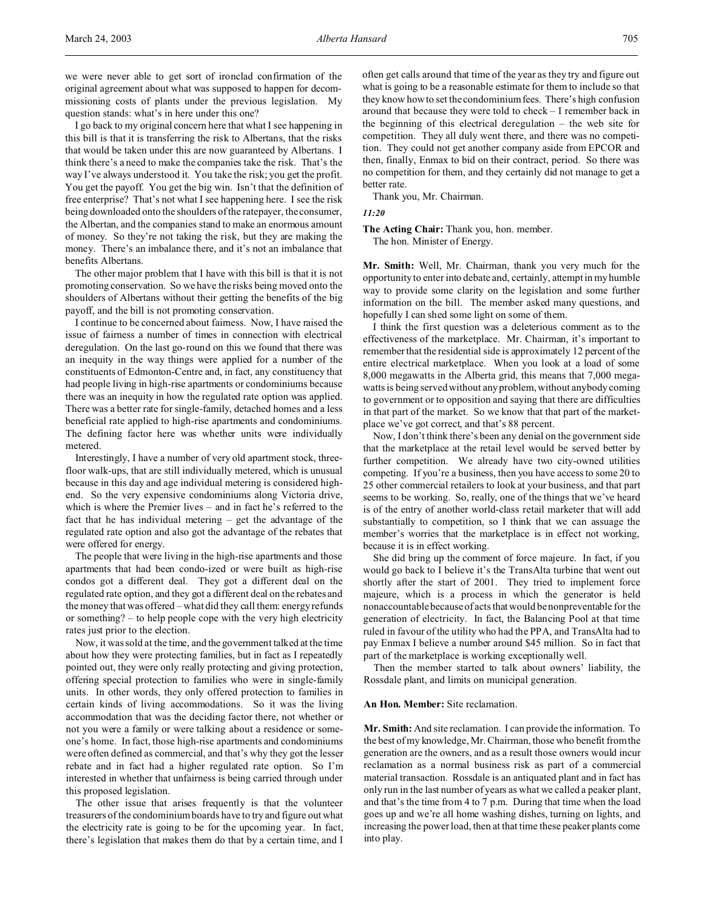we were never able to get sort of ironclad confirmation of the original agreement about what was supposed to happen for decommissioning costs of plants under the previous legislation. My question stands: what's in here under this one?

I go back to my original concern here that what I see happening in this bill is that it is transferring the risk to Albertans, that the risks that would be taken under this are now guaranteed by Albertans. I think there's a need to make the companies take the risk. That's the way I've always understood it. You take the risk; you get the profit. You get the payoff. You get the big win. Isn't that the definition of free enterprise? That's not what I see happening here. I see the risk being downloaded onto the shoulders of the ratepayer, the consumer, the Albertan, and the companies stand to make an enormous amount of money. So they're not taking the risk, but they are making the money. There's an imbalance there, and it's not an imbalance that benefits Albertans.

The other major problem that I have with this bill is that it is not promoting conservation. So we have the risks being moved onto the shoulders of Albertans without their getting the benefits of the big payoff, and the bill is not promoting conservation.

I continue to be concerned about fairness. Now, I have raised the issue of fairness a number of times in connection with electrical deregulation. On the last go-round on this we found that there was an inequity in the way things were applied for a number of the constituents of Edmonton-Centre and, in fact, any constituency that had people living in high-rise apartments or condominiums because there was an inequity in how the regulated rate option was applied. There was a better rate for single-family, detached homes and a less beneficial rate applied to high-rise apartments and condominiums. The defining factor here was whether units were individually metered.

Interestingly, I have a number of very old apartment stock, threefloor walk-ups, that are still individually metered, which is unusual because in this day and age individual metering is considered highend. So the very expensive condominiums along Victoria drive, which is where the Premier lives – and in fact he's referred to the fact that he has individual metering – get the advantage of the regulated rate option and also got the advantage of the rebates that were offered for energy.

The people that were living in the high-rise apartments and those apartments that had been condo-ized or were built as high-rise condos got a different deal. They got a different deal on the regulated rate option, and they got a different deal on the rebates and the money that was offered – what did they call them: energy refunds or something? – to help people cope with the very high electricity rates just prior to the election.

Now, it was sold at the time, and the government talked at the time about how they were protecting families, but in fact as I repeatedly pointed out, they were only really protecting and giving protection, offering special protection to families who were in single-family units. In other words, they only offered protection to families in certain kinds of living accommodations. So it was the living accommodation that was the deciding factor there, not whether or not you were a family or were talking about a residence or someone's home. In fact, those high-rise apartments and condominiums were often defined as commercial, and that's why they got the lesser rebate and in fact had a higher regulated rate option. So I'm interested in whether that unfairness is being carried through under this proposed legislation.

The other issue that arises frequently is that the volunteer treasurers of the condominium boards have to try and figure out what the electricity rate is going to be for the upcoming year. In fact, there's legislation that makes them do that by a certain time, and I often get calls around that time of the year as they try and figure out what is going to be a reasonable estimate for them to include so that they know how to set the condominium fees. There's high confusion around that because they were told to check – I remember back in the beginning of this electrical deregulation – the web site for competition. They all duly went there, and there was no competition. They could not get another company aside from EPCOR and then, finally, Enmax to bid on their contract, period. So there was no competition for them, and they certainly did not manage to get a better rate.

Thank you, Mr. Chairman.

*11:20*

**The Acting Chair:** Thank you, hon. member. The hon. Minister of Energy.

**Mr. Smith:** Well, Mr. Chairman, thank you very much for the opportunity to enter into debate and, certainly, attempt in my humble way to provide some clarity on the legislation and some further information on the bill. The member asked many questions, and hopefully I can shed some light on some of them.

I think the first question was a deleterious comment as to the effectiveness of the marketplace. Mr. Chairman, it's important to remember that the residential side is approximately 12 percent of the entire electrical marketplace. When you look at a load of some 8,000 megawatts in the Alberta grid, this means that 7,000 megawatts is being served without any problem, without anybody coming to government or to opposition and saying that there are difficulties in that part of the market. So we know that that part of the marketplace we've got correct, and that's 88 percent.

Now, I don't think there's been any denial on the government side that the marketplace at the retail level would be served better by further competition. We already have two city-owned utilities competing. If you're a business, then you have access to some 20 to 25 other commercial retailers to look at your business, and that part seems to be working. So, really, one of the things that we've heard is of the entry of another world-class retail marketer that will add substantially to competition, so I think that we can assuage the member's worries that the marketplace is in effect not working, because it is in effect working.

She did bring up the comment of force majeure. In fact, if you would go back to I believe it's the TransAlta turbine that went out shortly after the start of 2001. They tried to implement force majeure, which is a process in which the generator is held nonaccountable because of acts that would be nonpreventable for the generation of electricity. In fact, the Balancing Pool at that time ruled in favour of the utility who had the PPA, and TransAlta had to pay Enmax I believe a number around \$45 million. So in fact that part of the marketplace is working exceptionally well.

Then the member started to talk about owners' liability, the Rossdale plant, and limits on municipal generation.

### **An Hon. Member:** Site reclamation.

**Mr. Smith:** And site reclamation. I can provide the information. To the best of my knowledge, Mr. Chairman, those who benefit from the generation are the owners, and as a result those owners would incur reclamation as a normal business risk as part of a commercial material transaction. Rossdale is an antiquated plant and in fact has only run in the last number of years as what we called a peaker plant, and that's the time from 4 to 7 p.m. During that time when the load goes up and we're all home washing dishes, turning on lights, and increasing the power load, then at that time these peaker plants come into play.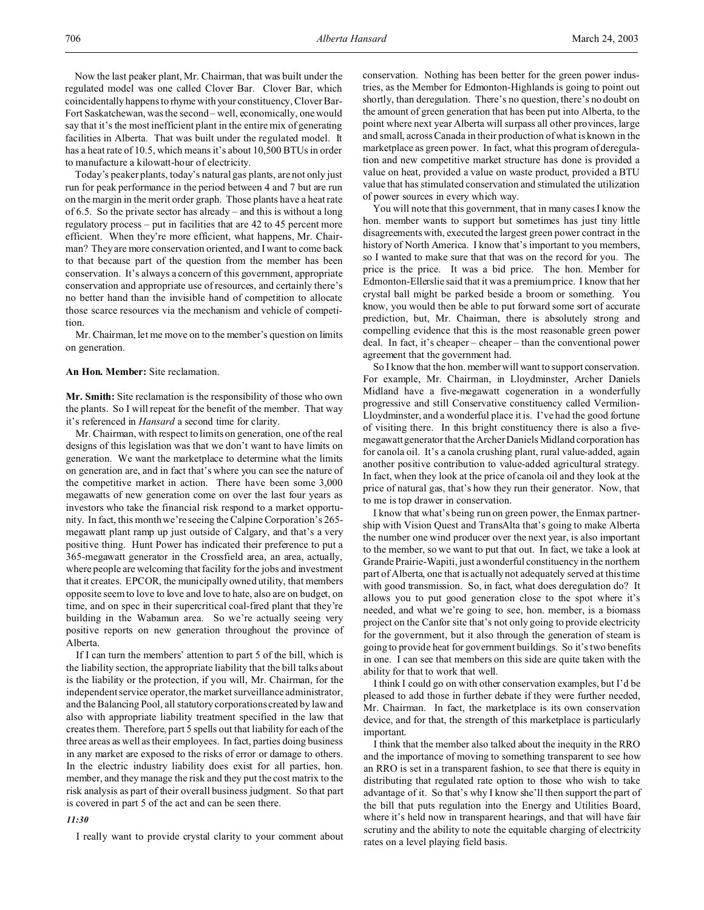Today's peaker plants, today's natural gas plants, are not only just run for peak performance in the period between 4 and 7 but are run on the margin in the merit order graph. Those plants have a heat rate of 6.5. So the private sector has already – and this is without a long regulatory process – put in facilities that are 42 to 45 percent more efficient. When they're more efficient, what happens, Mr. Chairman? They are more conservation oriented, and I want to come back to that because part of the question from the member has been conservation. It's always a concern of this government, appropriate conservation and appropriate use of resources, and certainly there's no better hand than the invisible hand of competition to allocate those scarce resources via the mechanism and vehicle of competition.

Mr. Chairman, let me move on to the member's question on limits on generation.

### **An Hon. Member:** Site reclamation.

**Mr. Smith:** Site reclamation is the responsibility of those who own the plants. So I will repeat for the benefit of the member. That way it's referenced in *Hansard* a second time for clarity.

Mr. Chairman, with respect to limits on generation, one of the real designs of this legislation was that we don't want to have limits on generation. We want the marketplace to determine what the limits on generation are, and in fact that's where you can see the nature of the competitive market in action. There have been some 3,000 megawatts of new generation come on over the last four years as investors who take the financial risk respond to a market opportunity. In fact, this month we're seeing the Calpine Corporation's 265 megawatt plant ramp up just outside of Calgary, and that's a very positive thing. Hunt Power has indicated their preference to put a 365-megawatt generator in the Crossfield area, an area, actually, where people are welcoming that facility for the jobs and investment that it creates. EPCOR, the municipally owned utility, that members opposite seem to love to love and love to hate, also are on budget, on time, and on spec in their supercritical coal-fired plant that they're building in the Wabamun area. So we're actually seeing very positive reports on new generation throughout the province of Alberta.

If I can turn the members' attention to part 5 of the bill, which is the liability section, the appropriate liability that the bill talks about is the liability or the protection, if you will, Mr. Chairman, for the independent service operator, the market surveillance administrator, and the Balancing Pool, all statutory corporations created by law and also with appropriate liability treatment specified in the law that creates them. Therefore, part 5 spells out that liability for each of the three areas as well as their employees. In fact, parties doing business in any market are exposed to the risks of error or damage to others. In the electric industry liability does exist for all parties, hon. member, and they manage the risk and they put the cost matrix to the risk analysis as part of their overall business judgment. So that part is covered in part 5 of the act and can be seen there.

### *11:30*

I really want to provide crystal clarity to your comment about

conservation. Nothing has been better for the green power industries, as the Member for Edmonton-Highlands is going to point out shortly, than deregulation. There's no question, there's no doubt on the amount of green generation that has been put into Alberta, to the point where next year Alberta will surpass all other provinces, large and small, across Canada in their production of what is known in the marketplace as green power. In fact, what this program of deregulation and new competitive market structure has done is provided a value on heat, provided a value on waste product, provided a BTU value that has stimulated conservation and stimulated the utilization of power sources in every which way.

You will note that this government, that in many cases I know the hon. member wants to support but sometimes has just tiny little disagreements with, executed the largest green power contract in the history of North America. I know that's important to you members, so I wanted to make sure that that was on the record for you. The price is the price. It was a bid price. The hon. Member for Edmonton-Ellerslie said that it was a premium price. I know that her crystal ball might be parked beside a broom or something. You know, you would then be able to put forward some sort of accurate prediction, but, Mr. Chairman, there is absolutely strong and compelling evidence that this is the most reasonable green power deal. In fact, it's cheaper – cheaper – than the conventional power agreement that the government had.

So I know that the hon. member will want to support conservation. For example, Mr. Chairman, in Lloydminster, Archer Daniels Midland have a five-megawatt cogeneration in a wonderfully progressive and still Conservative constituency called Vermilion-Lloydminster, and a wonderful place it is. I've had the good fortune of visiting there. In this bright constituency there is also a fivemegawatt generator that the Archer Daniels Midland corporation has for canola oil. It's a canola crushing plant, rural value-added, again another positive contribution to value-added agricultural strategy. In fact, when they look at the price of canola oil and they look at the price of natural gas, that's how they run their generator. Now, that to me is top drawer in conservation.

I know that what's being run on green power, the Enmax partnership with Vision Quest and TransAlta that's going to make Alberta the number one wind producer over the next year, is also important to the member, so we want to put that out. In fact, we take a look at Grande Prairie-Wapiti, just a wonderful constituency in the northern part of Alberta, one that is actually not adequately served at this time with good transmission. So, in fact, what does deregulation do? It allows you to put good generation close to the spot where it's needed, and what we're going to see, hon. member, is a biomass project on the Canfor site that's not only going to provide electricity for the government, but it also through the generation of steam is going to provide heat for government buildings. So it's two benefits in one. I can see that members on this side are quite taken with the ability for that to work that well.

I think I could go on with other conservation examples, but I'd be pleased to add those in further debate if they were further needed, Mr. Chairman. In fact, the marketplace is its own conservation device, and for that, the strength of this marketplace is particularly important.

I think that the member also talked about the inequity in the RRO and the importance of moving to something transparent to see how an RRO is set in a transparent fashion, to see that there is equity in distributing that regulated rate option to those who wish to take advantage of it. So that's why I know she'll then support the part of the bill that puts regulation into the Energy and Utilities Board, where it's held now in transparent hearings, and that will have fair scrutiny and the ability to note the equitable charging of electricity rates on a level playing field basis.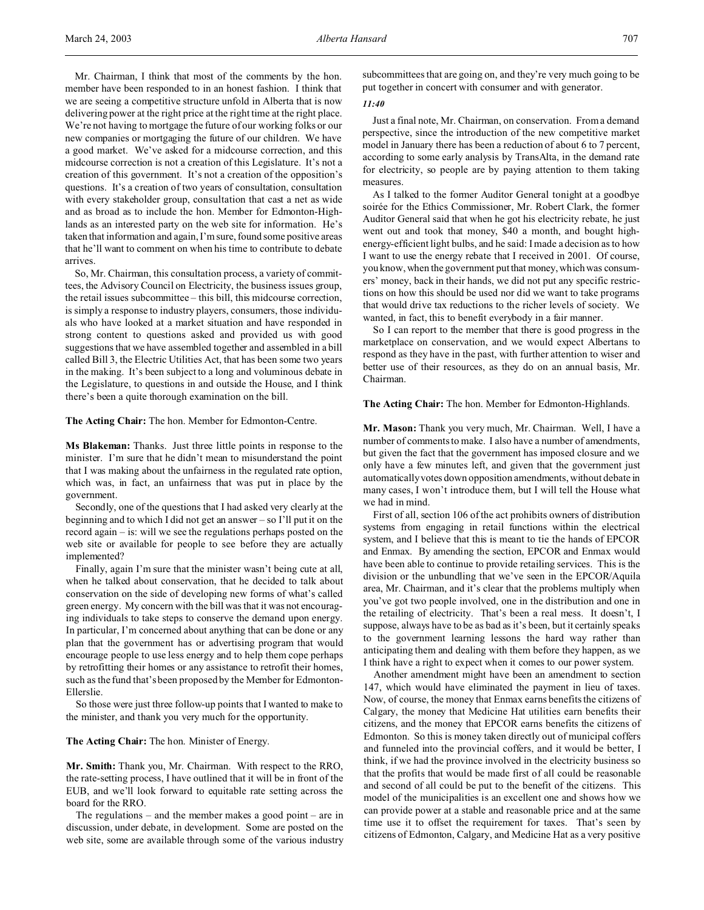Mr. Chairman, I think that most of the comments by the hon. member have been responded to in an honest fashion. I think that we are seeing a competitive structure unfold in Alberta that is now delivering power at the right price at the right time at the right place. We're not having to mortgage the future of our working folks or our new companies or mortgaging the future of our children. We have a good market. We've asked for a midcourse correction, and this midcourse correction is not a creation of this Legislature. It's not a creation of this government. It's not a creation of the opposition's questions. It's a creation of two years of consultation, consultation with every stakeholder group, consultation that cast a net as wide and as broad as to include the hon. Member for Edmonton-Highlands as an interested party on the web site for information. He's taken that information and again, I'm sure, found some positive areas that he'll want to comment on when his time to contribute to debate arrives.

So, Mr. Chairman, this consultation process, a variety of committees, the Advisory Council on Electricity, the business issues group, the retail issues subcommittee – this bill, this midcourse correction, is simply a response to industry players, consumers, those individuals who have looked at a market situation and have responded in strong content to questions asked and provided us with good suggestions that we have assembled together and assembled in a bill called Bill 3, the Electric Utilities Act, that has been some two years in the making. It's been subject to a long and voluminous debate in the Legislature, to questions in and outside the House, and I think there's been a quite thorough examination on the bill.

**The Acting Chair:** The hon. Member for Edmonton-Centre.

**Ms Blakeman:** Thanks. Just three little points in response to the minister. I'm sure that he didn't mean to misunderstand the point that I was making about the unfairness in the regulated rate option, which was, in fact, an unfairness that was put in place by the government.

Secondly, one of the questions that I had asked very clearly at the beginning and to which I did not get an answer – so I'll put it on the record again – is: will we see the regulations perhaps posted on the web site or available for people to see before they are actually implemented?

Finally, again I'm sure that the minister wasn't being cute at all, when he talked about conservation, that he decided to talk about conservation on the side of developing new forms of what's called green energy. My concern with the bill was that it was not encouraging individuals to take steps to conserve the demand upon energy. In particular, I'm concerned about anything that can be done or any plan that the government has or advertising program that would encourage people to use less energy and to help them cope perhaps by retrofitting their homes or any assistance to retrofit their homes, such as the fund that's been proposed by the Member for Edmonton-Ellerslie.

So those were just three follow-up points that I wanted to make to the minister, and thank you very much for the opportunity.

**The Acting Chair:** The hon. Minister of Energy.

**Mr. Smith:** Thank you, Mr. Chairman. With respect to the RRO, the rate-setting process, I have outlined that it will be in front of the EUB, and we'll look forward to equitable rate setting across the board for the RRO.

The regulations – and the member makes a good point – are in discussion, under debate, in development. Some are posted on the web site, some are available through some of the various industry subcommittees that are going on, and they're very much going to be put together in concert with consumer and with generator.

## *11:40*

Just a final note, Mr. Chairman, on conservation. From a demand perspective, since the introduction of the new competitive market model in January there has been a reduction of about 6 to 7 percent, according to some early analysis by TransAlta, in the demand rate for electricity, so people are by paying attention to them taking measures.

As I talked to the former Auditor General tonight at a goodbye soirée for the Ethics Commissioner, Mr. Robert Clark, the former Auditor General said that when he got his electricity rebate, he just went out and took that money, \$40 a month, and bought highenergy-efficient light bulbs, and he said: I made a decision as to how I want to use the energy rebate that I received in 2001. Of course, you know, when the government put that money, which was consumers' money, back in their hands, we did not put any specific restrictions on how this should be used nor did we want to take programs that would drive tax reductions to the richer levels of society. We wanted, in fact, this to benefit everybody in a fair manner.

So I can report to the member that there is good progress in the marketplace on conservation, and we would expect Albertans to respond as they have in the past, with further attention to wiser and better use of their resources, as they do on an annual basis, Mr. Chairman.

**The Acting Chair:** The hon. Member for Edmonton-Highlands.

**Mr. Mason:** Thank you very much, Mr. Chairman. Well, I have a number of comments to make. I also have a number of amendments, but given the fact that the government has imposed closure and we only have a few minutes left, and given that the government just automatically votes down opposition amendments, without debate in many cases, I won't introduce them, but I will tell the House what we had in mind.

First of all, section 106 of the act prohibits owners of distribution systems from engaging in retail functions within the electrical system, and I believe that this is meant to tie the hands of EPCOR and Enmax. By amending the section, EPCOR and Enmax would have been able to continue to provide retailing services. This is the division or the unbundling that we've seen in the EPCOR/Aquila area, Mr. Chairman, and it's clear that the problems multiply when you've got two people involved, one in the distribution and one in the retailing of electricity. That's been a real mess. It doesn't, I suppose, always have to be as bad as it's been, but it certainly speaks to the government learning lessons the hard way rather than anticipating them and dealing with them before they happen, as we I think have a right to expect when it comes to our power system.

Another amendment might have been an amendment to section 147, which would have eliminated the payment in lieu of taxes. Now, of course, the money that Enmax earns benefits the citizens of Calgary, the money that Medicine Hat utilities earn benefits their citizens, and the money that EPCOR earns benefits the citizens of Edmonton. So this is money taken directly out of municipal coffers and funneled into the provincial coffers, and it would be better, I think, if we had the province involved in the electricity business so that the profits that would be made first of all could be reasonable and second of all could be put to the benefit of the citizens. This model of the municipalities is an excellent one and shows how we can provide power at a stable and reasonable price and at the same time use it to offset the requirement for taxes. That's seen by citizens of Edmonton, Calgary, and Medicine Hat as a very positive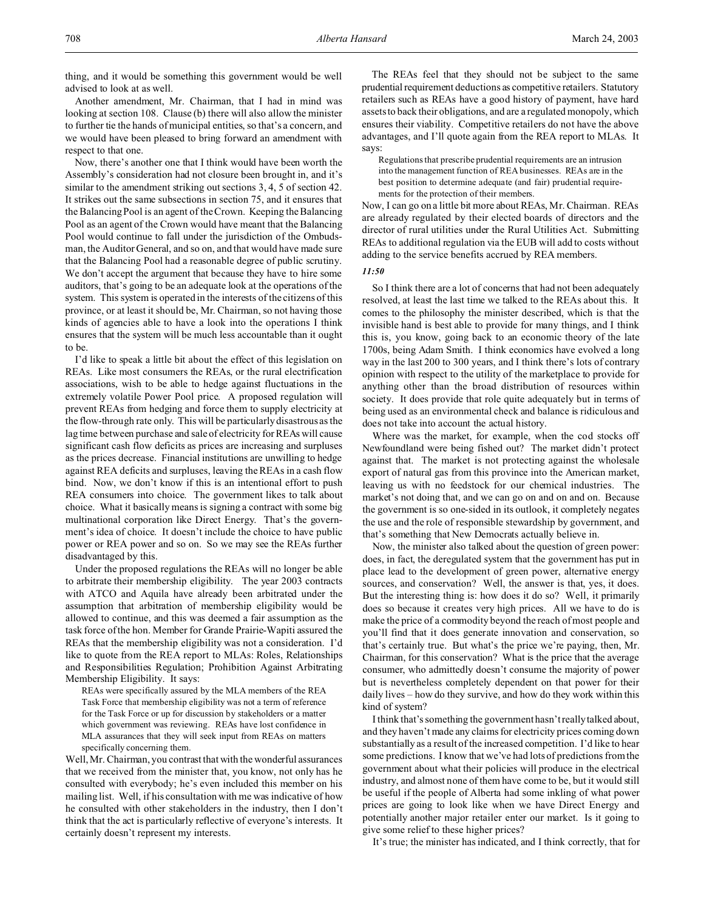Another amendment, Mr. Chairman, that I had in mind was looking at section 108. Clause (b) there will also allow the minister to further tie the hands of municipal entities, so that's a concern, and we would have been pleased to bring forward an amendment with respect to that one.

Now, there's another one that I think would have been worth the Assembly's consideration had not closure been brought in, and it's similar to the amendment striking out sections 3, 4, 5 of section 42. It strikes out the same subsections in section 75, and it ensures that the Balancing Pool is an agent of the Crown. Keeping the Balancing Pool as an agent of the Crown would have meant that the Balancing Pool would continue to fall under the jurisdiction of the Ombudsman, the Auditor General, and so on, and that would have made sure that the Balancing Pool had a reasonable degree of public scrutiny. We don't accept the argument that because they have to hire some auditors, that's going to be an adequate look at the operations of the system. This system is operated in the interests of the citizens of this province, or at least it should be, Mr. Chairman, so not having those kinds of agencies able to have a look into the operations I think ensures that the system will be much less accountable than it ought to be.

I'd like to speak a little bit about the effect of this legislation on REAs. Like most consumers the REAs, or the rural electrification associations, wish to be able to hedge against fluctuations in the extremely volatile Power Pool price. A proposed regulation will prevent REAs from hedging and force them to supply electricity at the flow-through rate only. This will be particularly disastrous as the lag time between purchase and sale of electricity for REAs will cause significant cash flow deficits as prices are increasing and surpluses as the prices decrease. Financial institutions are unwilling to hedge against REA deficits and surpluses, leaving the REAs in a cash flow bind. Now, we don't know if this is an intentional effort to push REA consumers into choice. The government likes to talk about choice. What it basically means is signing a contract with some big multinational corporation like Direct Energy. That's the government's idea of choice. It doesn't include the choice to have public power or REA power and so on. So we may see the REAs further disadvantaged by this.

Under the proposed regulations the REAs will no longer be able to arbitrate their membership eligibility. The year 2003 contracts with ATCO and Aquila have already been arbitrated under the assumption that arbitration of membership eligibility would be allowed to continue, and this was deemed a fair assumption as the task force of the hon. Member for Grande Prairie-Wapiti assured the REAs that the membership eligibility was not a consideration. I'd like to quote from the REA report to MLAs: Roles, Relationships and Responsibilities Regulation; Prohibition Against Arbitrating Membership Eligibility. It says:

REAs were specifically assured by the MLA members of the REA Task Force that membership eligibility was not a term of reference for the Task Force or up for discussion by stakeholders or a matter which government was reviewing. REAs have lost confidence in MLA assurances that they will seek input from REAs on matters specifically concerning them.

Well, Mr. Chairman, you contrast that with the wonderful assurances that we received from the minister that, you know, not only has he consulted with everybody; he's even included this member on his mailing list. Well, if his consultation with me was indicative of how he consulted with other stakeholders in the industry, then I don't think that the act is particularly reflective of everyone's interests. It certainly doesn't represent my interests.

The REAs feel that they should not be subject to the same prudential requirement deductions as competitive retailers. Statutory retailers such as REAs have a good history of payment, have hard assets to back their obligations, and are a regulated monopoly, which ensures their viability. Competitive retailers do not have the above advantages, and I'll quote again from the REA report to MLAs. It says:

Regulations that prescribe prudential requirements are an intrusion into the management function of REA businesses. REAs are in the best position to determine adequate (and fair) prudential requirements for the protection of their members.

Now, I can go on a little bit more about REAs, Mr. Chairman. REAs are already regulated by their elected boards of directors and the director of rural utilities under the Rural Utilities Act. Submitting REAs to additional regulation via the EUB will add to costs without adding to the service benefits accrued by REA members.

#### *11:50*

So I think there are a lot of concerns that had not been adequately resolved, at least the last time we talked to the REAs about this. It comes to the philosophy the minister described, which is that the invisible hand is best able to provide for many things, and I think this is, you know, going back to an economic theory of the late 1700s, being Adam Smith. I think economics have evolved a long way in the last 200 to 300 years, and I think there's lots of contrary opinion with respect to the utility of the marketplace to provide for anything other than the broad distribution of resources within society. It does provide that role quite adequately but in terms of being used as an environmental check and balance is ridiculous and does not take into account the actual history.

Where was the market, for example, when the cod stocks off Newfoundland were being fished out? The market didn't protect against that. The market is not protecting against the wholesale export of natural gas from this province into the American market, leaving us with no feedstock for our chemical industries. The market's not doing that, and we can go on and on and on. Because the government is so one-sided in its outlook, it completely negates the use and the role of responsible stewardship by government, and that's something that New Democrats actually believe in.

Now, the minister also talked about the question of green power: does, in fact, the deregulated system that the government has put in place lead to the development of green power, alternative energy sources, and conservation? Well, the answer is that, yes, it does. But the interesting thing is: how does it do so? Well, it primarily does so because it creates very high prices. All we have to do is make the price of a commodity beyond the reach of most people and you'll find that it does generate innovation and conservation, so that's certainly true. But what's the price we're paying, then, Mr. Chairman, for this conservation? What is the price that the average consumer, who admittedly doesn't consume the majority of power but is nevertheless completely dependent on that power for their daily lives – how do they survive, and how do they work within this kind of system?

I think that's something the government hasn't really talked about, and they haven't made any claims for electricity prices coming down substantially as a result of the increased competition. I'd like to hear some predictions. I know that we've had lots of predictions from the government about what their policies will produce in the electrical industry, and almost none of them have come to be, but it would still be useful if the people of Alberta had some inkling of what power prices are going to look like when we have Direct Energy and potentially another major retailer enter our market. Is it going to give some relief to these higher prices?

It's true; the minister has indicated, and I think correctly, that for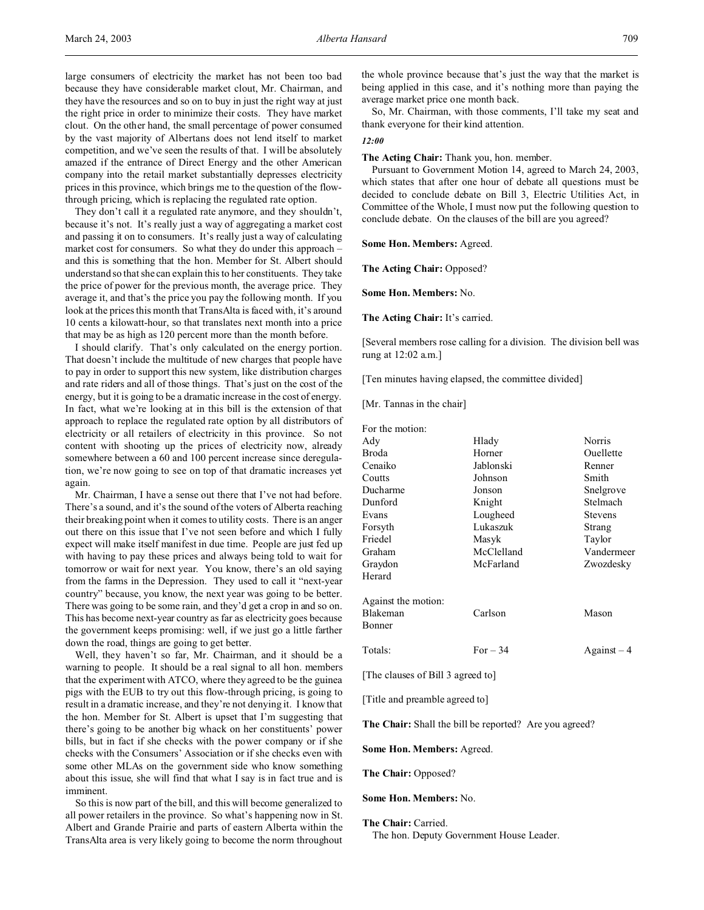large consumers of electricity the market has not been too bad because they have considerable market clout, Mr. Chairman, and they have the resources and so on to buy in just the right way at just the right price in order to minimize their costs. They have market clout. On the other hand, the small percentage of power consumed by the vast majority of Albertans does not lend itself to market competition, and we've seen the results of that. I will be absolutely amazed if the entrance of Direct Energy and the other American company into the retail market substantially depresses electricity prices in this province, which brings me to the question of the flowthrough pricing, which is replacing the regulated rate option.

They don't call it a regulated rate anymore, and they shouldn't, because it's not. It's really just a way of aggregating a market cost and passing it on to consumers. It's really just a way of calculating market cost for consumers. So what they do under this approach – and this is something that the hon. Member for St. Albert should understand so that she can explain this to her constituents. They take the price of power for the previous month, the average price. They average it, and that's the price you pay the following month. If you look at the prices this month that TransAlta is faced with, it's around 10 cents a kilowatt-hour, so that translates next month into a price that may be as high as 120 percent more than the month before.

I should clarify. That's only calculated on the energy portion. That doesn't include the multitude of new charges that people have to pay in order to support this new system, like distribution charges and rate riders and all of those things. That's just on the cost of the energy, but it is going to be a dramatic increase in the cost of energy. In fact, what we're looking at in this bill is the extension of that approach to replace the regulated rate option by all distributors of electricity or all retailers of electricity in this province. So not content with shooting up the prices of electricity now, already somewhere between a 60 and 100 percent increase since deregulation, we're now going to see on top of that dramatic increases yet again.

Mr. Chairman, I have a sense out there that I've not had before. There's a sound, and it's the sound of the voters of Alberta reaching their breaking point when it comes to utility costs. There is an anger out there on this issue that I've not seen before and which I fully expect will make itself manifest in due time. People are just fed up with having to pay these prices and always being told to wait for tomorrow or wait for next year. You know, there's an old saying from the farms in the Depression. They used to call it "next-year country" because, you know, the next year was going to be better. There was going to be some rain, and they'd get a crop in and so on. This has become next-year country as far as electricity goes because the government keeps promising: well, if we just go a little farther down the road, things are going to get better.

Well, they haven't so far, Mr. Chairman, and it should be a warning to people. It should be a real signal to all hon. members that the experiment with ATCO, where they agreed to be the guinea pigs with the EUB to try out this flow-through pricing, is going to result in a dramatic increase, and they're not denying it. I know that the hon. Member for St. Albert is upset that I'm suggesting that there's going to be another big whack on her constituents' power bills, but in fact if she checks with the power company or if she checks with the Consumers' Association or if she checks even with some other MLAs on the government side who know something about this issue, she will find that what I say is in fact true and is imminent.

So this is now part of the bill, and this will become generalized to all power retailers in the province. So what's happening now in St. Albert and Grande Prairie and parts of eastern Alberta within the TransAlta area is very likely going to become the norm throughout

the whole province because that's just the way that the market is being applied in this case, and it's nothing more than paying the average market price one month back.

So, Mr. Chairman, with those comments, I'll take my seat and thank everyone for their kind attention.

## *12:00*

## **The Acting Chair:** Thank you, hon. member.

Pursuant to Government Motion 14, agreed to March 24, 2003, which states that after one hour of debate all questions must be decided to conclude debate on Bill 3, Electric Utilities Act, in Committee of the Whole, I must now put the following question to conclude debate. On the clauses of the bill are you agreed?

**Some Hon. Members:** Agreed.

**The Acting Chair:** Opposed?

**Some Hon. Members:** No.

**The Acting Chair:** It's carried.

[Several members rose calling for a division. The division bell was rung at 12:02 a.m.]

[Ten minutes having elapsed, the committee divided]

[Mr. Tannas in the chair]

| For the motion:     |            |                |
|---------------------|------------|----------------|
| Adv                 | Hlady      | Norris         |
| Broda               | Horner     | Ouellette      |
| Cenaiko             | Jablonski  | Renner         |
| Coutts              | Johnson    | Smith          |
| Ducharme            | Jonson     | Snelgrove      |
| Dunford             | Knight     | Stelmach       |
| Evans               | Lougheed   | <b>Stevens</b> |
| Forsyth             | Lukaszuk   | Strang         |
| Friedel             | Masyk      | Taylor         |
| Graham              | McClelland | Vandermeer     |
| Graydon             | McFarland  | Zwozdesky      |
| Herard              |            |                |
| Against the motion: |            |                |
| Blakeman            | Carlson    | Mason          |
| Bonner              |            |                |
| Totals:             | For $-34$  | $Against-4$    |
|                     |            |                |

[The clauses of Bill 3 agreed to]

[Title and preamble agreed to]

**The Chair:** Shall the bill be reported? Are you agreed?

**Some Hon. Members:** Agreed.

**The Chair:** Opposed?

### **Some Hon. Members:** No.

**The Chair:** Carried.

The hon. Deputy Government House Leader.